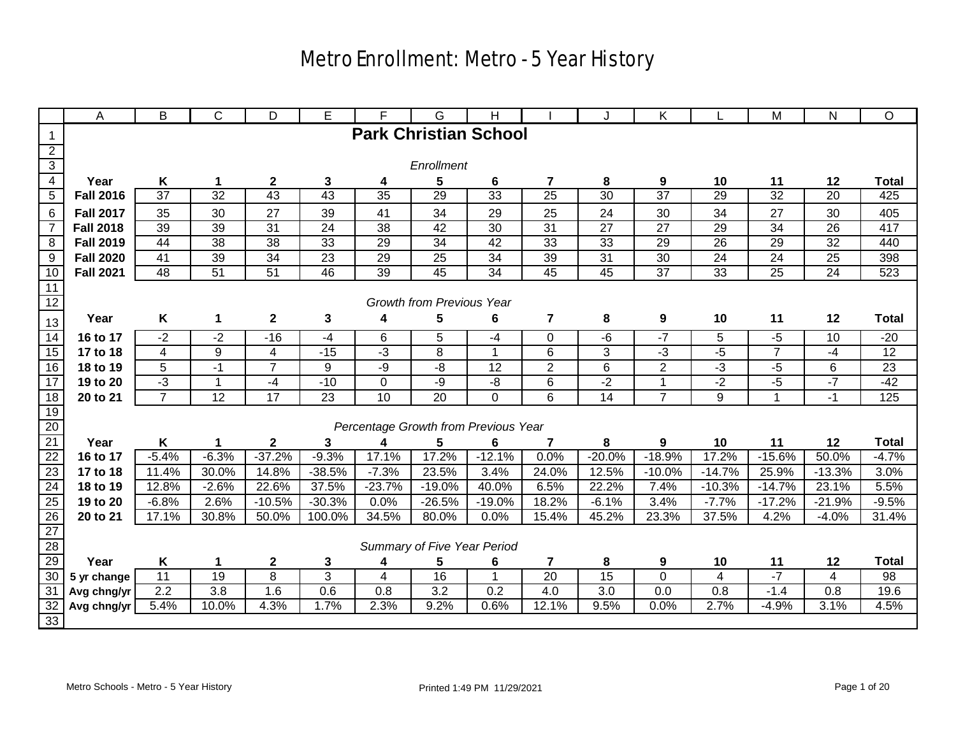|                                               | A                                                                                                                                                                                                                                                                                     | B               | C                | D               | E                 | F                   | G                                    | н               |                         | J              | Κ                |                      | M                 | ${\sf N}$         | $\circ$         |
|-----------------------------------------------|---------------------------------------------------------------------------------------------------------------------------------------------------------------------------------------------------------------------------------------------------------------------------------------|-----------------|------------------|-----------------|-------------------|---------------------|--------------------------------------|-----------------|-------------------------|----------------|------------------|----------------------|-------------------|-------------------|-----------------|
| $\overline{1}$                                |                                                                                                                                                                                                                                                                                       |                 |                  |                 |                   |                     | <b>Park Christian School</b>         |                 |                         |                |                  |                      |                   |                   |                 |
|                                               |                                                                                                                                                                                                                                                                                       |                 |                  |                 |                   |                     |                                      |                 |                         |                |                  |                      |                   |                   |                 |
| $\frac{2}{3}$                                 |                                                                                                                                                                                                                                                                                       |                 |                  |                 |                   |                     | Enrollment                           |                 |                         |                |                  |                      |                   |                   |                 |
| $\overline{4}$                                | Year                                                                                                                                                                                                                                                                                  | Κ               | 1                | $\mathbf{2}$    | 3                 | 4                   | 5                                    | 6               | 7                       | 8              | 9                | 10                   | 11                | 12                | <b>Total</b>    |
| $\overline{5}$                                | <b>Fall 2016</b>                                                                                                                                                                                                                                                                      | $\overline{37}$ | 32               | 43              | 43                | $\overline{35}$     | 29                                   | 33              | $\overline{25}$         | 30             | $\overline{37}$  | 29                   | 32                | $\overline{20}$   | 425             |
| $\overline{6}$                                | <b>Fall 2017</b>                                                                                                                                                                                                                                                                      | 35              | 30               | 27              | 39                | 41                  | 34                                   | 29              | 25                      | 24             | 30               | 34                   | 27                | 30                | 405             |
| $\overline{7}$                                | <b>Fall 2018</b>                                                                                                                                                                                                                                                                      | 39              | 39               | 31              | 24                | 38                  | 42                                   | 30              | 31                      | 27             | 27               | 29                   | 34                | 26                | 417             |
| $\overline{8}$                                | <b>Fall 2019</b>                                                                                                                                                                                                                                                                      | 44              | 38               | 38              | 33                | 29                  | 34                                   | 42              | 33                      | 33             | 29               | 26                   | 29                | 32                | 440             |
| 9                                             | <b>Fall 2020</b>                                                                                                                                                                                                                                                                      | 41              | 39               | $\overline{34}$ | 23                | 29                  | 25                                   | 34              | 39                      | 31             | 30               | 24                   | 24                | 25                | 398             |
| 10                                            | <b>Fall 2021</b>                                                                                                                                                                                                                                                                      | 48              | $\overline{51}$  | $\overline{51}$ | 46                | 39                  | 45                                   | 34              | 45                      | 45             | $\overline{37}$  | 33                   | 25                | $\overline{24}$   | 523             |
| $\overline{11}$                               |                                                                                                                                                                                                                                                                                       |                 |                  |                 |                   |                     |                                      |                 |                         |                |                  |                      |                   |                   |                 |
| 12                                            |                                                                                                                                                                                                                                                                                       |                 |                  |                 |                   |                     | Growth from Previous Year            |                 |                         |                |                  |                      |                   |                   |                 |
| 13                                            | Year                                                                                                                                                                                                                                                                                  | Κ               | 1                | $\mathbf 2$     | 3                 | 4                   | 5                                    | 6               | 7                       | 8              | 9                | 10                   | 11                | 12                | <b>Total</b>    |
| 14                                            | 6<br>5<br>$-7$<br>5<br>$-2$<br>$-2$<br>$-16$<br>$-4$<br>$\Omega$<br>$-6$<br>$-5$<br>10<br>$-20$<br>16 to 17<br>$-4$<br>$-3$<br>$\overline{3}$<br>$-3$<br>$\overline{4}$<br>9<br>8<br>6<br>$-5$<br>$\overline{7}$<br>$-4$<br>$\overline{12}$<br>17 to 18<br>4<br>$-15$<br>$\mathbf{1}$ |                 |                  |                 |                   |                     |                                      |                 |                         |                |                  |                      |                   |                   |                 |
| 15                                            |                                                                                                                                                                                                                                                                                       |                 |                  |                 |                   |                     |                                      |                 |                         |                |                  |                      |                   |                   |                 |
| 16                                            | 18 to 19                                                                                                                                                                                                                                                                              | $\overline{5}$  | $-1$             | $\overline{7}$  | 9                 | $-9$                | -8                                   | $\overline{12}$ | $\overline{2}$          | $\overline{6}$ | $\overline{2}$   | لۍ<br>ت              | $-5$              | $6\phantom{1}6$   | $\overline{23}$ |
| 17                                            | 19 to 20                                                                                                                                                                                                                                                                              | $-3$            |                  | $-4$            | $-10$             | 0                   | $-9$                                 | -8              | $\overline{6}$          | $-2$           | $\mathbf 1$      | $-2$                 | $-5$              | $-7$              | $-42$           |
| 18                                            | 20 to 21                                                                                                                                                                                                                                                                              | $\overline{7}$  | 12               | 17              | 23                | $\overline{10}$     | 20                                   | $\Omega$        | 6                       | 14             | $\overline{7}$   | 9                    | $\mathbf{1}$      | $-1$              | 125             |
| 19                                            |                                                                                                                                                                                                                                                                                       |                 |                  |                 |                   |                     |                                      |                 |                         |                |                  |                      |                   |                   |                 |
| $20\,$                                        |                                                                                                                                                                                                                                                                                       |                 |                  |                 |                   |                     | Percentage Growth from Previous Year |                 |                         |                |                  |                      |                   |                   |                 |
| 21                                            | Year                                                                                                                                                                                                                                                                                  | Κ               |                  | $\mathbf{2}$    | 3                 | 4                   | 5                                    | 6               | 7                       | 8              | 9                | 10                   | 11                | 12                | <b>Total</b>    |
| $\overline{22}$<br>23                         | 16 to 17                                                                                                                                                                                                                                                                              | $-5.4%$         | $-6.3%$          | $-37.2%$        | $-9.3%$           | 17.1%               | 17.2%                                | $-12.1%$        | 0.0%                    | $-20.0%$       | $-18.9%$         | 17.2%                | $-15.6%$          | 50.0%             | $-4.7%$         |
| $\overline{24}$                               | 17 to 18<br>18 to 19                                                                                                                                                                                                                                                                  | 11.4%<br>12.8%  | 30.0%<br>$-2.6%$ | 14.8%<br>22.6%  | $-38.5%$<br>37.5% | $-7.3%$<br>$-23.7%$ | 23.5%<br>$-19.0%$                    | 3.4%<br>40.0%   | 24.0%<br>6.5%           | 12.5%<br>22.2% | $-10.0%$<br>7.4% | $-14.7%$<br>$-10.3%$ | 25.9%<br>$-14.7%$ | $-13.3%$<br>23.1% | 3.0%<br>5.5%    |
| 25                                            | 19 to 20                                                                                                                                                                                                                                                                              | $-6.8%$         | 2.6%             | $-10.5%$        | $-30.3%$          | 0.0%                | $-26.5%$                             | $-19.0%$        | 18.2%                   | $-6.1%$        | 3.4%             | $-7.7%$              | $-17.2%$          | $-21.9%$          | $-9.5%$         |
|                                               | 20 to 21                                                                                                                                                                                                                                                                              | 17.1%           | 30.8%            | 50.0%           | 100.0%            | 34.5%               | 80.0%                                | 0.0%            | 15.4%                   | 45.2%          | 23.3%            | 37.5%                | 4.2%              | $-4.0%$           | 31.4%           |
|                                               |                                                                                                                                                                                                                                                                                       |                 |                  |                 |                   |                     |                                      |                 |                         |                |                  |                      |                   |                   |                 |
| $\begin{array}{r} 26 \\ 27 \\ 28 \end{array}$ |                                                                                                                                                                                                                                                                                       |                 |                  |                 |                   |                     | Summary of Five Year Period          |                 |                         |                |                  |                      |                   |                   |                 |
| 29                                            | Year                                                                                                                                                                                                                                                                                  | Κ               | 1                | $\mathbf 2$     | 3                 | 4                   | 5                                    | 6               | $\overline{\mathbf{r}}$ | 8              | 9                | 10                   | 11                | 12                | <b>Total</b>    |
| 30 <sup>°</sup>                               | 5 yr change                                                                                                                                                                                                                                                                           | 11              | 19               | 8               | 3                 | 4                   | 16                                   | $\mathbf 1$     | 20                      | 15             | $\overline{0}$   | 4                    | $-7$              | 4                 | 98              |
| 31                                            | Avg chng/yr                                                                                                                                                                                                                                                                           | 2.2             | 3.8              | 1.6             | 0.6               | 0.8                 | 3.2                                  | 0.2             | 4.0                     | 3.0            | 0.0              | 0.8                  | $-1.4$            | 0.8               | 19.6            |
| $\frac{32}{33}$                               | Avg chng/yr                                                                                                                                                                                                                                                                           | 5.4%            | 10.0%            | 4.3%            | 1.7%              | 2.3%                | 9.2%                                 | 0.6%            | 12.1%                   | 9.5%           | 0.0%             | 2.7%                 | $-4.9%$           | 3.1%              | 4.5%            |
|                                               |                                                                                                                                                                                                                                                                                       |                 |                  |                 |                   |                     |                                      |                 |                         |                |                  |                      |                   |                   |                 |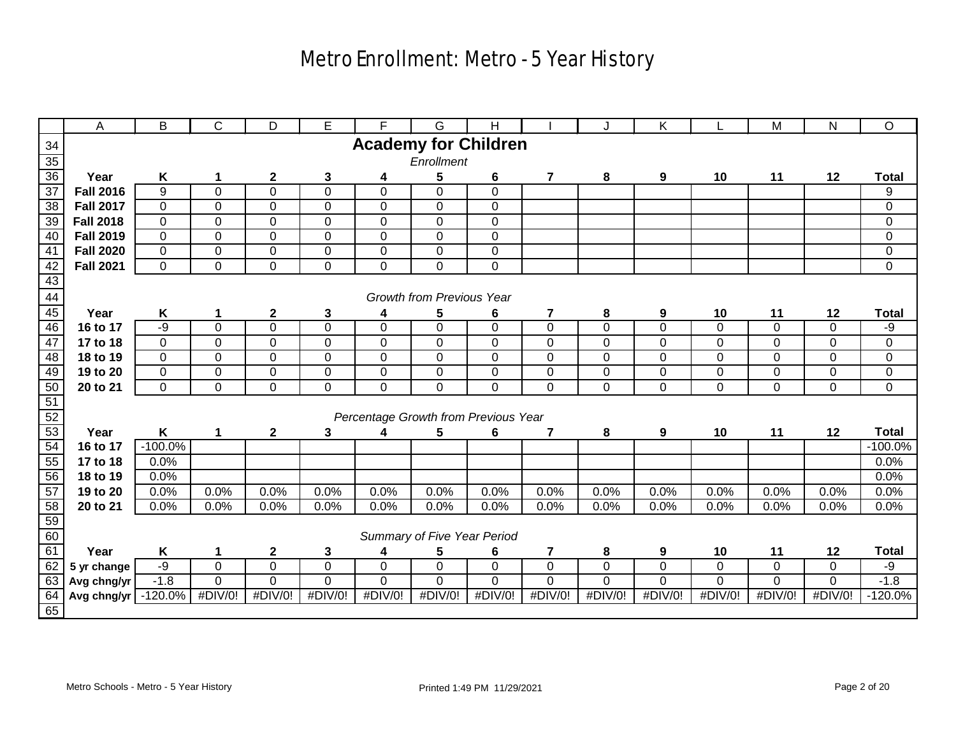|                                                 | A                      | B              | C              | D              | E                | F                                    | G                                | H              |                         | J              | K.             |                | M              | $\mathsf{N}$ | $\circ$        |
|-------------------------------------------------|------------------------|----------------|----------------|----------------|------------------|--------------------------------------|----------------------------------|----------------|-------------------------|----------------|----------------|----------------|----------------|--------------|----------------|
| $\frac{34}{5}$                                  |                        |                |                |                |                  | <b>Academy for Children</b>          |                                  |                |                         |                |                |                |                |              |                |
|                                                 |                        |                |                |                |                  |                                      | Enrollment                       |                |                         |                |                |                |                |              |                |
| $\frac{35}{36}$                                 | Year                   | Κ              | 1              | $\mathbf 2$    | 3                | 4                                    | 5                                | 6              | $\overline{\mathbf{7}}$ | 8              | 9              | 10             | 11             | 12           | <b>Total</b>   |
| $\overline{37}$                                 | <b>Fall 2016</b>       | 9              | $\mathbf 0$    | 0              | $\overline{0}$   | $\mathbf 0$                          | 0                                | $\mathbf 0$    |                         |                |                |                |                |              | 9              |
| 38                                              | <b>Fall 2017</b>       | $\mathbf 0$    | $\mathbf{0}$   | 0              | $\boldsymbol{0}$ | $\mathbf 0$                          | 0                                | $\mathbf 0$    |                         |                |                |                |                |              | $\overline{0}$ |
| 39                                              | <b>Fall 2018</b>       | $\overline{0}$ | $\mathbf{0}$   | 0              | $\overline{0}$   | $\mathbf 0$                          | 0                                | $\mathbf 0$    |                         |                |                |                |                |              | $\overline{0}$ |
| 40                                              | <b>Fall 2019</b>       | $\overline{0}$ | $\overline{0}$ | 0              | $\overline{0}$   | $\overline{0}$                       | $\overline{0}$                   | $\overline{0}$ |                         |                |                |                |                |              | $\overline{0}$ |
| 41                                              | <b>Fall 2020</b>       | $\overline{0}$ | $\overline{0}$ | $\overline{0}$ | $\overline{0}$   | $\overline{0}$                       | $\overline{0}$                   | $\overline{0}$ |                         |                |                |                |                |              | $\overline{0}$ |
| $\frac{42}{43}$                                 | <b>Fall 2021</b>       | $\overline{0}$ | $\mathbf{0}$   | 0              | $\mathbf 0$      | 0                                    | 0                                | $\mathbf 0$    |                         |                |                |                |                |              | 0              |
|                                                 |                        |                |                |                |                  |                                      |                                  |                |                         |                |                |                |                |              |                |
| 44                                              |                        |                |                |                |                  |                                      | <b>Growth from Previous Year</b> |                |                         |                |                |                |                |              |                |
| 45                                              | Year                   | K              | 1              | $\mathbf 2$    | 3                | 4                                    | 5                                | 6              | 7                       | $\bf{8}$       | 9              | 10             | 11             | 12           | <b>Total</b>   |
| 46                                              | 16 to 17               | $-9$           | $\mathbf{0}$   | $\mathbf 0$    | $\mathbf 0$      | $\mathbf 0$                          | 0                                | $\Omega$       | $\mathbf 0$             | $\overline{0}$ | $\mathbf 0$    | $\mathbf 0$    | $\mathbf 0$    | $\Omega$     | -9             |
| 47                                              | 17 to 18               | $\mathbf 0$    | $\mathbf 0$    | 0              | $\boldsymbol{0}$ | $\mathbf 0$                          | 0                                | $\mathbf 0$    | $\mathbf 0$             | $\pmb{0}$      | $\overline{0}$ | $\overline{0}$ | $\mathbf 0$    | $\mathbf 0$  | 0              |
| 48                                              | 18 to 19               | $\pmb{0}$      | $\mathbf{0}$   | 0              | $\mathbf 0$      | $\mathbf 0$                          | 0                                | $\overline{0}$ | $\mathbf 0$             | $\pmb{0}$      | $\mathbf 0$    | 0              | $\mathbf 0$    | $\mathbf 0$  | 0              |
| 49                                              | 19 to 20               | $\pmb{0}$      | $\overline{0}$ | $\overline{0}$ | $\overline{0}$   | $\overline{0}$                       | $\overline{0}$                   | $\mathbf 0$    | $\overline{0}$          | $\overline{0}$ | $\mathbf 0$    | 0              | $\mathbf 0$    | $\mathbf 0$  | $\overline{0}$ |
|                                                 | 20 to 21               | $\mathbf 0$    | $\mathbf 0$    | $\overline{0}$ | $\mathbf 0$      | 0                                    | 0                                | $\mathbf 0$    | $\mathbf 0$             | $\pmb{0}$      | $\mathbf 0$    | 0              | $\mathbf 0$    | 0            | 0              |
| $\frac{50}{51}$ $\frac{51}{52}$ $\frac{52}{53}$ |                        |                |                |                |                  |                                      |                                  |                |                         |                |                |                |                |              |                |
|                                                 |                        |                |                |                |                  | Percentage Growth from Previous Year |                                  |                |                         |                |                |                |                |              |                |
|                                                 | Year                   | K              | 1              | $\mathbf 2$    | 3                | 4                                    | 5                                | 6              | 7                       | 8              | 9              | 10             | 11             | 12           | <b>Total</b>   |
| 54                                              | 16 to 17               | $-100.0%$      |                |                |                  |                                      |                                  |                |                         |                |                |                |                |              | $-100.0%$      |
| 55                                              | 17 to 18               | 0.0%           |                |                |                  |                                      |                                  |                |                         |                |                |                |                |              | 0.0%           |
| 56                                              | 18 to 19               | 0.0%           |                |                |                  |                                      |                                  |                |                         |                |                |                |                |              | 0.0%           |
| 57                                              | 19 to 20<br>20 to 21   | 0.0%<br>0.0%   | 0.0%<br>0.0%   | 0.0%<br>0.0%   | 0.0%<br>0.0%     | 0.0%<br>0.0%                         | 0.0%<br>0.0%                     | 0.0%<br>0.0%   | 0.0%<br>0.0%            | 0.0%<br>0.0%   | 0.0%<br>0.0%   | 0.0%<br>0.0%   | 0.0%<br>0.0%   | 0.0%<br>0.0% | 0.0%<br>0.0%   |
|                                                 |                        |                |                |                |                  |                                      |                                  |                |                         |                |                |                |                |              |                |
| $\frac{58}{59}$ $\frac{59}{60}$                 |                        |                |                |                |                  |                                      | Summary of Five Year Period      |                |                         |                |                |                |                |              |                |
| 61                                              | Year                   | K              | 1              | $\mathbf 2$    | 3                | 4                                    | 5                                | 6              | $\overline{\mathbf{7}}$ | 8              | 9              | 10             | 11             | 12           | <b>Total</b>   |
| 62                                              | 5 yr change            | $-9$           | $\overline{0}$ | $\overline{0}$ | $\overline{0}$   | $\overline{0}$                       | $\overline{0}$                   | $\mathbf 0$    | $\overline{0}$          | $\overline{0}$ | $\overline{0}$ | $\overline{0}$ | $\overline{0}$ | $\mathbf 0$  | $-9$           |
| 63                                              | Avg chng/yr            | $-1.8$         | $\overline{0}$ | 0              | $\overline{0}$   | 0                                    | 0                                | $\mathbf 0$    | $\overline{0}$          | $\overline{0}$ | 0              | $\overline{0}$ | 0              | 0            | $-1.8$         |
|                                                 | Avg chng/yr $-120.0\%$ |                | #DIV/0!        | #DIV/0!        | $\#$ DIV/0!      | #DIV/0!                              | #DIV/0!                          | #DIV/0!        | #DIV/0!                 | #DIV/0!        | #DIV/0!        | #DIV/0!        | #DIV/0!        | #DIV/0!      | $-120.0%$      |
| $\frac{64}{65}$                                 |                        |                |                |                |                  |                                      |                                  |                |                         |                |                |                |                |              |                |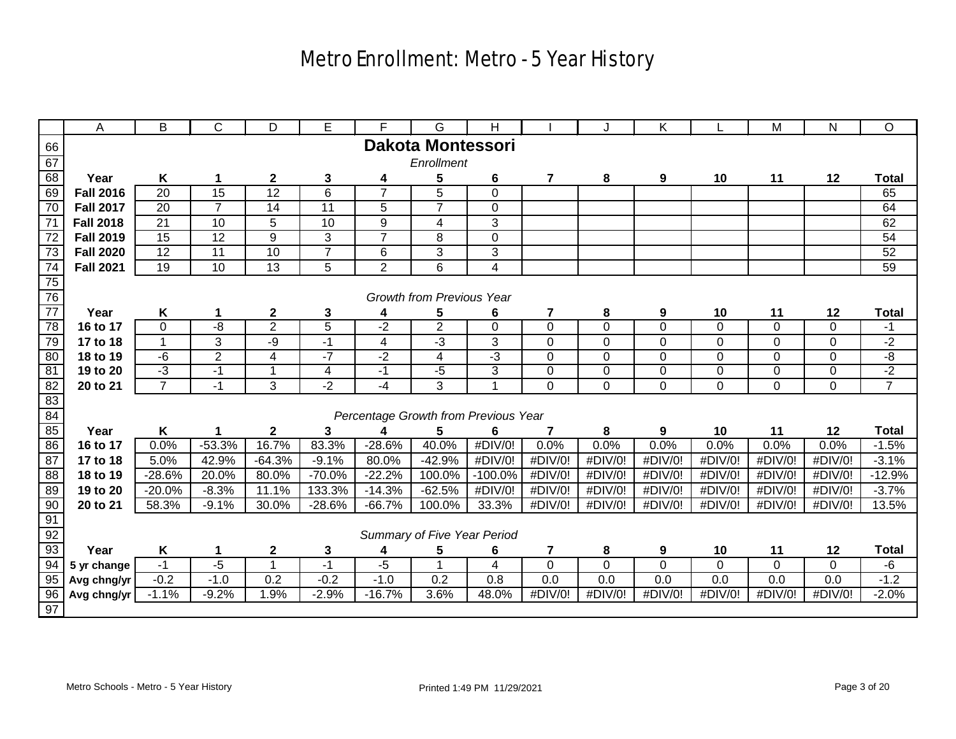|                 | A                | B                         | C               | D                | E               | F                                    | G                                | H                       |                         |                | Κ              |                | M              | ${\sf N}$      | O              |
|-----------------|------------------|---------------------------|-----------------|------------------|-----------------|--------------------------------------|----------------------------------|-------------------------|-------------------------|----------------|----------------|----------------|----------------|----------------|----------------|
| 66              |                  |                           |                 |                  |                 |                                      | <b>Dakota Montessori</b>         |                         |                         |                |                |                |                |                |                |
| 67              |                  |                           |                 |                  |                 |                                      | Enrollment                       |                         |                         |                |                |                |                |                |                |
| 68              | Year             | K                         | 1               | $\boldsymbol{2}$ | 3               | 4                                    | 5                                | 6                       | 7                       | 8              | 9              | 10             | 11             | 12             | <b>Total</b>   |
| 69              | <b>Fall 2016</b> | $\overline{20}$           | 15              | 12               | $\overline{6}$  | $\overline{7}$                       | $\overline{5}$                   | $\Omega$                |                         |                |                |                |                |                | 65             |
| $\overline{70}$ | <b>Fall 2017</b> | $\overline{20}$           | $\overline{7}$  | $\overline{14}$  | 11              | $\overline{5}$                       | $\overline{7}$                   | $\mathbf 0$             |                         |                |                |                |                |                | 64             |
| 71              | <b>Fall 2018</b> | $\overline{21}$           | $\overline{10}$ | $\overline{5}$   | $\overline{10}$ | $\overline{9}$                       | $\overline{\mathbf{4}}$          | 3                       |                         |                |                |                |                |                | 62             |
| 72              | <b>Fall 2019</b> | 15                        | $\overline{12}$ | $\overline{9}$   | 3               | $\overline{7}$                       | 8                                | $\mathbf 0$             |                         |                |                |                |                |                | 54             |
| 73              | <b>Fall 2020</b> | 12                        | 11              | 10               | $\overline{7}$  | 6                                    | 3                                | 3                       |                         |                |                |                |                |                | 52             |
| $\frac{74}{75}$ | <b>Fall 2021</b> | 19                        | 10              | $\overline{13}$  | 5               | $\overline{2}$                       | 6                                | $\overline{\mathbf{4}}$ |                         |                |                |                |                |                | 59             |
|                 |                  |                           |                 |                  |                 |                                      |                                  |                         |                         |                |                |                |                |                |                |
| 76              |                  |                           |                 |                  |                 |                                      | <b>Growth from Previous Year</b> |                         |                         |                |                |                |                |                |                |
| 77              | Year             | Κ                         | 1               | $\mathbf{2}$     | 3               | 4                                    | 5                                | 6                       | 7                       | 8              | 9              | 10             | 11             | 12             | <b>Total</b>   |
| 78              | 16 to 17         | 0                         | -8              | $\overline{2}$   | $\overline{5}$  | $-2$                                 | $\overline{2}$                   | $\mathbf 0$             | $\mathbf 0$             | $\mathbf 0$    | $\Omega$       | $\Omega$       | $\mathbf 0$    | $\mathbf 0$    | $-1$           |
| 79              | 17 to 18         | $\mathbf{1}$              | $\overline{3}$  | -9               | $-1$            | $\overline{4}$                       | لۍ.                              | $\overline{3}$          | $\mathbf 0$             | 0              | $\mathbf 0$    | $\mathbf 0$    | $\mathbf 0$    | 0              | $-2$           |
| 80              | 18 to 19         | $-6$                      | $\overline{2}$  | 4                | $-7$            | $-2$                                 | 4                                | $-3$                    | $\mathbf 0$             | 0              | $\mathbf 0$    | $\mathbf 0$    | $\mathbf 0$    | 0              | -8             |
| 81              | 19 to 20         | $-3$                      | $-1$            | 1                | $\overline{4}$  | $-1$                                 | $-5$                             | $\overline{3}$          | $\mathbf 0$             | $\overline{0}$ | $\overline{0}$ | $\overline{0}$ | $\overline{0}$ | $\overline{0}$ | $-2$           |
| 82              | 20 to 21         | $\overline{7}$            | $-1$            | 3                | $\overline{-2}$ | $-4$                                 | $\overline{3}$                   | 1                       | $\Omega$                | 0              | $\Omega$       | $\mathbf 0$    | $\mathbf 0$    | $\mathbf 0$    | $\overline{7}$ |
| 83              |                  |                           |                 |                  |                 |                                      |                                  |                         |                         |                |                |                |                |                |                |
| 84              |                  |                           |                 |                  |                 | Percentage Growth from Previous Year |                                  |                         |                         |                |                |                |                |                |                |
| 85              | Year             | Κ                         |                 | $\mathbf 2$      | 3               | 4                                    | 5                                | 6                       | 7                       | 8              | 9              | 10             | 11             | 12             | <b>Total</b>   |
| 86              | 16 to 17         | 0.0%                      | $-53.3%$        | 16.7%            | 83.3%           | $-28.6%$                             | 40.0%                            | #DIV/0!                 | 0.0%                    | 0.0%           | 0.0%           | 0.0%           | 0.0%           | 0.0%           | $-1.5%$        |
| 87              | 17 to 18         | 5.0%                      | 42.9%           | $-64.3%$         | $-9.1%$         | 80.0%                                | $-42.9%$                         | #DIV/0!                 | #DIV/0!                 | #DIV/0!        | #DIV/0!        | #DIV/0!        | #DIV/0!        | #DIV/0!        | $-3.1%$        |
| $\overline{88}$ | 18 to 19         | $-28.6%$                  | 20.0%           | 80.0%            | $-70.0%$        | $-22.2%$                             | 100.0%                           | $-100.0\%$              | #DIV/0!                 | #DIV/0!        | #DIV/0!        | #DIV/0!        | #DIV/0!        | #DIV/0!        | $-12.9%$       |
| 89              | 19 to 20         | $-20.0%$                  | $-8.3%$         | 11.1%            | 133.3%          | $-14.3%$                             | $-62.5%$                         | #DIV/0!                 | #DIV/0!                 | #DIV/0!        | #DIV/0!        | #DIV/0!        | #DIV/0!        | #DIV/0!        | $-3.7%$        |
| 90              | 20 to 21         | 58.3%                     | $-9.1%$         | 30.0%            | $-28.6%$        | $-66.7%$                             | 100.0%                           | 33.3%                   | #DIV/0!                 | #DIV/0!        | #DIV/0!        | #DIV/0!        | #DIV/0!        | #DIV/0!        | 13.5%          |
| 91              |                  |                           |                 |                  |                 |                                      |                                  |                         |                         |                |                |                |                |                |                |
| 92              |                  |                           |                 |                  |                 |                                      | Summary of Five Year Period      |                         |                         |                |                |                |                |                |                |
| 93              | Year             | $\boldsymbol{\mathsf{K}}$ | 1               | $\boldsymbol{2}$ | 3               | 4                                    | 5                                | 6                       | $\overline{\mathbf{r}}$ | 8              | 9              | 10             | 11             | 12             | <b>Total</b>   |
| 94              | 5 yr change      | $-1$                      | $-5$            | $\overline{1}$   | $-1$            | $-5$                                 | $\mathbf 1$                      | $\overline{\mathbf{4}}$ | $\mathbf 0$             | $\mathbf 0$    | $\mathbf 0$    | $\mathbf 0$    | $\mathbf 0$    | $\mathbf 0$    | $-6$           |
| 95              | Avg chng/yr      | $-0.2$                    | $-1.0$          | 0.2              | $-0.2$          | $-1.0$                               | 0.2                              | 0.8                     | 0.0                     | 0.0            | 0.0            | 0.0            | 0.0            | 0.0            | $-1.2$         |
| 96              | Avg chng/yr      | $-1.1%$                   | $-9.2%$         | 1.9%             | $-2.9%$         | $-16.7%$                             | 3.6%                             | 48.0%                   | #DIV/0!                 | #DIV/0!        | #DIV/0!        | #DIV/0!        | #DIV/0!        | #DIV/0!        | $-2.0%$        |
| 97              |                  |                           |                 |                  |                 |                                      |                                  |                         |                         |                |                |                |                |                |                |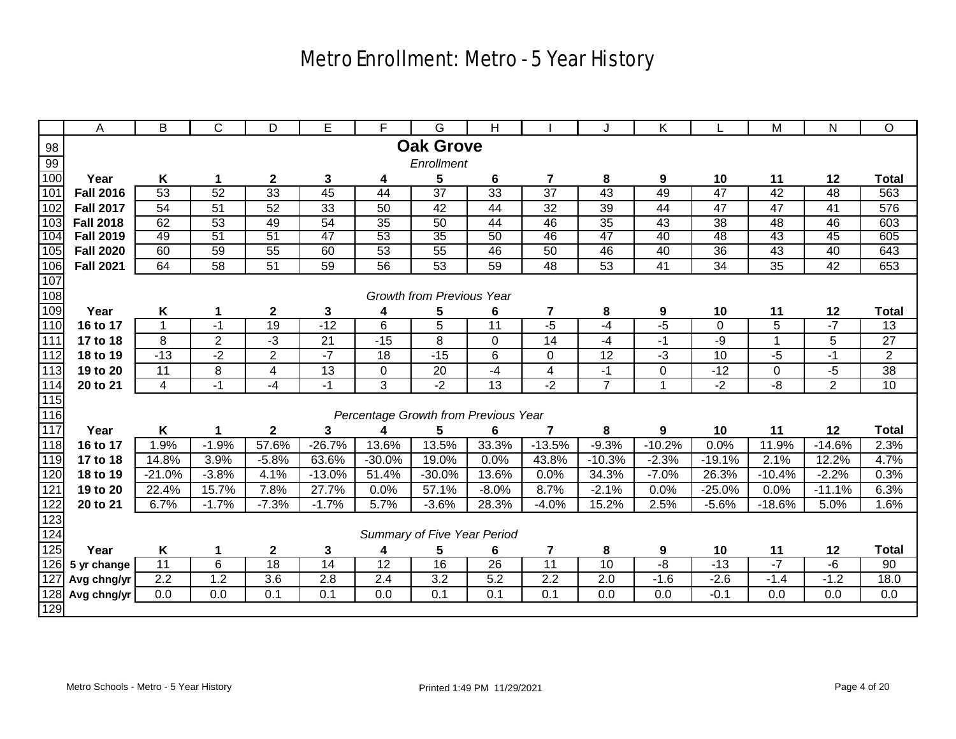|                   | Α                    | B                       | C               | D                       | E                | F.                                   | G                                | Н               |                         | J              | Κ               |                 | M               | N                | O               |
|-------------------|----------------------|-------------------------|-----------------|-------------------------|------------------|--------------------------------------|----------------------------------|-----------------|-------------------------|----------------|-----------------|-----------------|-----------------|------------------|-----------------|
| 98                |                      |                         |                 |                         |                  |                                      | <b>Oak Grove</b>                 |                 |                         |                |                 |                 |                 |                  |                 |
| 99                |                      |                         |                 |                         |                  |                                      | Enrollment                       |                 |                         |                |                 |                 |                 |                  |                 |
| 100               | Year                 | Κ                       | 1               | $\mathbf 2$             | $\mathbf 3$      | 4                                    | 5                                | 6               | $\overline{\mathbf{r}}$ | 8              | 9               | 10              | 11              | 12               | <b>Total</b>    |
| 101               | <b>Fall 2016</b>     | 53                      | 52              | 33                      | 45               | 44                                   | $\overline{37}$                  | 33              | $\overline{37}$         | 43             | 49              | 47              | 42              | 48               | 563             |
| 102               | <b>Fall 2017</b>     | 54                      | 51              | 52                      | 33               | 50                                   | 42                               | 44              | $\overline{32}$         | 39             | 44              | 47              | 47              | 41               | 576             |
| 103               | <b>Fall 2018</b>     | 62                      | 53              | 49                      | 54               | $\overline{35}$                      | 50                               | 44              | 46                      | 35             | 43              | $\overline{38}$ | 48              | 46               | 603             |
| 104               | <b>Fall 2019</b>     | 49                      | 51              | 51                      | 47               | 53                                   | 35                               | 50              | 46                      | 47             | 40              | 48              | 43              | 45               | 605             |
| 105               | <b>Fall 2020</b>     | 60                      | 59              | 55                      | 60               | $\overline{53}$                      | 55                               | 46              | $\overline{50}$         | 46             | 40              | $\overline{36}$ | 43              | 40               | 643             |
| 106               | <b>Fall 2021</b>     | 64                      | $\overline{58}$ | 51                      | 59               | $\overline{56}$                      | $\overline{53}$                  | 59              | 48                      | 53             | $\overline{41}$ | 34              | $\overline{35}$ | 42               | 653             |
| $107$             |                      |                         |                 |                         |                  |                                      |                                  |                 |                         |                |                 |                 |                 |                  |                 |
| 108               |                      |                         |                 |                         |                  |                                      | <b>Growth from Previous Year</b> |                 |                         |                |                 |                 |                 |                  |                 |
| 109               | Year                 | Κ                       | 1               | $\boldsymbol{2}$        | 3                | 4                                    | 5                                | 6               | 7                       | 8              | 9               | <u>10</u>       | 11              | 12               | <b>Total</b>    |
| 110               | 16 to 17             |                         | $-1$            | 19                      | $-12$            | $\overline{6}$                       | $\overline{5}$                   | 11              | $-5$                    | $-4$           | $-5$            | $\mathbf 0$     | $\overline{5}$  | $-7$             | 13              |
| $\overline{111}$  | 17 to 18             | 8                       | $\overline{2}$  | $-3$                    | 21               | $-15$                                | 8                                | 0               | $\overline{14}$         | $-4$           | $-1$            | $-9$            | 1               | 5                | 27              |
| 112               | 18 to 19             | $-13$                   | $-2$            | $\overline{c}$          | $-7$             | 18                                   | $-15$                            | 6               | 0                       | 12             | لۍ<br>ت         | 10              | $-5$            | $-1$             | $\overline{2}$  |
| 113               | 19 to 20             | $\overline{11}$         | 8               | $\overline{\mathbf{4}}$ | 13               | 0                                    | 20                               | $-4$            | $\overline{\mathbf{4}}$ | $-1$           | 0               | $-12$           | $\pmb{0}$       | $-5$             | $\overline{38}$ |
| 114               | 20 to 21             | $\overline{\mathbf{4}}$ | $-1$            | $-4$                    | $-1$             | $\overline{3}$                       | $-2$                             | $\overline{13}$ | $-2$                    | $\overline{7}$ |                 | $-2$            | $-\frac{8}{3}$  | $\overline{2}$   | 10              |
| 115               |                      |                         |                 |                         |                  |                                      |                                  |                 |                         |                |                 |                 |                 |                  |                 |
| 116               |                      |                         |                 |                         |                  | Percentage Growth from Previous Year |                                  |                 |                         |                |                 |                 |                 |                  |                 |
| 117<br>118        | Year                 | Κ<br>1.9%               | $-1.9%$         | $\mathbf 2$<br>57.6%    | 3<br>$-26.7%$    | 13.6%                                | 5<br>13.5%                       | 6<br>33.3%      | 7<br>$-13.5%$           | 8<br>$-9.3%$   | 9<br>$-10.2%$   | 10<br>0.0%      | 11              | 12<br>$-14.6%$   | <b>Total</b>    |
| 119               | 16 to 17<br>17 to 18 | 14.8%                   | 3.9%            | $-5.8%$                 | 63.6%            | $-30.0%$                             | 19.0%                            | 0.0%            | 43.8%                   | $-10.3%$       | $-2.3%$         | $-19.1%$        | 11.9%<br>2.1%   | 12.2%            | 2.3%<br>4.7%    |
| 120               | 18 to 19             | $-21.0%$                | $-3.8%$         | 4.1%                    | $-13.0%$         | 51.4%                                | $-30.0%$                         | 13.6%           | 0.0%                    | 34.3%          | $-7.0%$         | 26.3%           | $-10.4%$        | $-2.2%$          | 0.3%            |
| $\overline{121}$  | 19 to 20             | 22.4%                   | 15.7%           | 7.8%                    | 27.7%            | 0.0%                                 | $\frac{1}{57.1\%}$               | $-8.0%$         | 8.7%                    | $-2.1%$        | 0.0%            | $-25.0%$        | 0.0%            | $-11.1%$         | 6.3%            |
| 122               | 20 to 21             | 6.7%                    | $-1.7%$         | $-7.3%$                 | $-1.7%$          | 5.7%                                 | $-3.6%$                          | 28.3%           | $-4.0%$                 | 15.2%          | 2.5%            | $-5.6%$         | $-18.6%$        | 5.0%             | 1.6%            |
|                   |                      |                         |                 |                         |                  |                                      |                                  |                 |                         |                |                 |                 |                 |                  |                 |
| $\frac{123}{124}$ |                      |                         |                 |                         |                  |                                      | Summary of Five Year Period      |                 |                         |                |                 |                 |                 |                  |                 |
| 125               | Year                 | Κ                       | 1               | $\mathbf 2$             | 3                | 4                                    | 5                                | 6               | $\overline{\mathbf{r}}$ | 8              | 9               | 10              | 11              | 12               | <b>Total</b>    |
| 126               | 5 yr change          | $\overline{11}$         | 6               | 18                      | $\overline{14}$  | $\overline{12}$                      | 16                               | $\overline{26}$ | $\overline{11}$         | 10             | $-\frac{8}{3}$  | $-13$           | $-7$            | $-6$             | 90              |
| 127               | Avg chng/yr          | $\overline{2.2}$        | 1.2             | 3.6                     | $\overline{2.8}$ | $\overline{2.4}$                     | $\overline{3.2}$                 | 5.2             | $\overline{2.2}$        | 2.0            | $-1.6$          | $-2.6$          | $-1.4$          | $-1.2$           | 18.0            |
| 128               | Avg chng/yr          | 0.0                     | 0.0             | 0.1                     | 0.1              | $\overline{0.0}$                     | 0.1                              | 0.1             | $\overline{0.1}$        | 0.0            | 0.0             | $-0.1$          | 0.0             | $\overline{0.0}$ | 0.0             |
| 129               |                      |                         |                 |                         |                  |                                      |                                  |                 |                         |                |                 |                 |                 |                  |                 |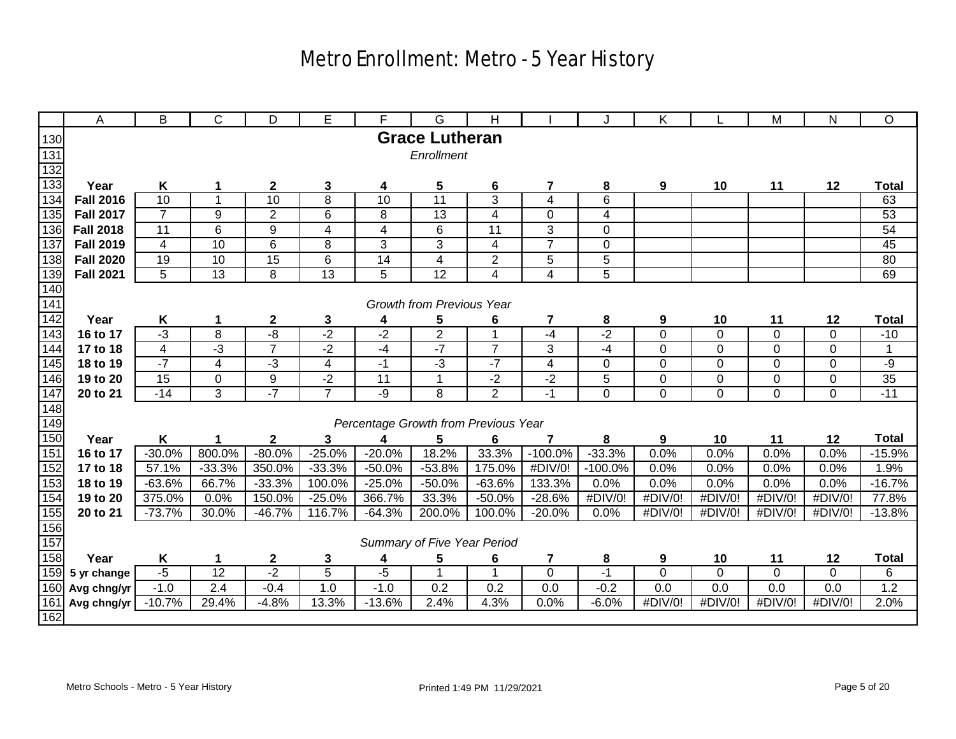|                   | A                | B              | С                       | D                | Е                       | F                                    | G                           | H                       |                         |             | Κ           |             | M              | N           | O               |
|-------------------|------------------|----------------|-------------------------|------------------|-------------------------|--------------------------------------|-----------------------------|-------------------------|-------------------------|-------------|-------------|-------------|----------------|-------------|-----------------|
| 130               |                  |                |                         |                  |                         |                                      | <b>Grace Lutheran</b>       |                         |                         |             |             |             |                |             |                 |
| 131               |                  |                |                         |                  |                         |                                      | Enrollment                  |                         |                         |             |             |             |                |             |                 |
| 132               |                  |                |                         |                  |                         |                                      |                             |                         |                         |             |             |             |                |             |                 |
| 133               | Year             | K              | 1                       | $\mathbf{2}$     | $\mathbf{3}$            | 4                                    | 5                           | $6\phantom{a}$          | $\overline{7}$          | 8           | 9           | 10          | 11             | 12          | <b>Total</b>    |
| 134               | <b>Fall 2016</b> | 10             | $\mathbf{1}$            | 10               | $\overline{8}$          | $\overline{10}$                      | $\overline{11}$             | 3                       | $\overline{\mathbf{4}}$ | 6           |             |             |                |             | 63              |
| 135               | <b>Fall 2017</b> | $\overline{7}$ | 9                       | $\overline{2}$   | $\,6$                   | 8                                    | $\overline{13}$             | $\overline{\mathbf{4}}$ | $\mathbf 0$             | 4           |             |             |                |             | 53              |
| 136               | <b>Fall 2018</b> | 11             | 6                       | 9                | 4                       | $\overline{\mathbf{4}}$              | 6                           | 11                      | 3                       | $\mathbf 0$ |             |             |                |             | 54              |
| 137               | <b>Fall 2019</b> | 4              | 10                      | 6                | 8                       | 3                                    | 3                           | $\overline{\mathbf{4}}$ | $\overline{7}$          | 0           |             |             |                |             | 45              |
| 138               | <b>Fall 2020</b> | 19             | 10                      | 15               | 6                       | 14                                   | $\overline{\mathbf{4}}$     | $\overline{2}$          | 5                       | 5           |             |             |                |             | $\overline{80}$ |
| 139               | <b>Fall 2021</b> | 5              | 13                      | 8                | 13                      | 5                                    | 12                          | 4                       | $\overline{\mathbf{4}}$ | 5           |             |             |                |             | 69              |
| $\frac{140}{141}$ |                  |                |                         |                  |                         |                                      |                             |                         |                         |             |             |             |                |             |                 |
|                   |                  |                |                         |                  |                         |                                      | Growth from Previous Year   |                         |                         |             |             |             |                |             |                 |
| 142               | Year             | Κ              | 1                       | $\boldsymbol{2}$ | 3                       | 4                                    | 5                           | 6                       | $\overline{\mathbf{r}}$ | 8           | 9           | 10          | 11             | 12          | <b>Total</b>    |
| 143               | 16 to 17         | $-3$           | 8                       | -8               | $-2$                    | $-2$                                 | $\overline{2}$              | $\mathbf{1}$            | $-4$                    | $-2$        | $\mathbf 0$ | $\mathbf 0$ | $\mathbf 0$    | 0           | $-10$           |
| 144               | 17 to 18         | $\overline{4}$ | $-3$                    | $\overline{7}$   | $-2$                    | $-4$                                 | $-7$                        | $\overline{7}$          | 3                       | $-4$        | $\mathbf 0$ | $\mathbf 0$ | $\mathbf 0$    | $\mathbf 0$ | 1               |
| 145               | 18 to 19         | $-7$           | $\overline{\mathbf{4}}$ | $-3$             | $\overline{\mathbf{4}}$ | $-1$                                 | $-3$                        | $-7$                    | $\overline{\mathbf{4}}$ | 0           | $\mathbf 0$ | $\Omega$    | $\overline{0}$ | $\mathbf 0$ | -9              |
| 146               | 19 to 20         | 15             | 0                       | $\boldsymbol{9}$ | $-2$                    | 11                                   | $\mathbf 1$                 | $-2$                    | $-2$                    | 5           | 0           | $\mathbf 0$ | 0              | 0           | 35              |
| $\frac{147}{148}$ | 20 to 21         | $-14$          | $\overline{3}$          | $-7$             | $\overline{7}$          | -9                                   | 8                           | $\overline{2}$          | $-1$                    | 0           | $\mathbf 0$ | 0           | $\mathbf 0$    | $\mathbf 0$ | $-11$           |
|                   |                  |                |                         |                  |                         |                                      |                             |                         |                         |             |             |             |                |             |                 |
| 149               |                  |                |                         |                  |                         | Percentage Growth from Previous Year |                             |                         |                         |             |             |             |                |             |                 |
| 150               | Year             | K              |                         | $\mathbf 2$      | 3                       | 4                                    | 5                           | 6                       | 7                       | 8           | 9           | 10          | 11             | 12          | <b>Total</b>    |
| 151               | 16 to 17         | $-30.0%$       | 800.0%                  | $-80.0%$         | $-25.0%$                | $-20.0%$                             | 18.2%                       | 33.3%                   | $-100.0\%$              | $-33.3%$    | 0.0%        | 0.0%        | 0.0%           | 0.0%        | $-15.9%$        |
| 152               | 17 to 18         | 57.1%          | $-33.3%$                | 350.0%           | $-33.3%$                | $-50.0%$                             | $-53.8%$                    | 175.0%                  | #DIV/0!                 | $-100.0%$   | 0.0%        | 0.0%        | 0.0%           | 0.0%        | 1.9%            |
| 153               | 18 to 19         | $-63.6%$       | 66.7%                   | $-33.3%$         | 100.0%                  | $-25.0%$                             | $-50.0%$                    | $-63.6%$                | 133.3%                  | 0.0%        | 0.0%        | 0.0%        | 0.0%           | 0.0%        | $-16.7%$        |
| 154               | 19 to 20         | 375.0%         | 0.0%                    | 150.0%           | $-25.0%$                | 366.7%                               | 33.3%                       | $-50.0%$                | $-28.6%$                | #DIV/0!     | #DIV/0!     | #DIV/0!     | #DIV/0!        | #DIV/0!     | 77.8%           |
| 155<br>156        | 20 to 21         | $-73.7%$       | 30.0%                   | $-46.7%$         | 116.7%                  | $-64.3%$                             | 200.0%                      | 100.0%                  | $-20.0%$                | 0.0%        | #DIV/0!     | #DIV/0!     | #DIV/0!        | #DIV/0!     | $-13.8%$        |
|                   |                  |                |                         |                  |                         |                                      |                             |                         |                         |             |             |             |                |             |                 |
| 157               |                  |                |                         |                  |                         |                                      | Summary of Five Year Period |                         |                         |             |             |             |                |             |                 |
| 158               | Year             | K              | 1                       | $\mathbf 2$      | 3                       | 4                                    | 5                           | 6                       | 7                       | 8           | 9           | 10          | 11             | 12          | <b>Total</b>    |
| 159               | 5 yr change      | $-5$           | $\overline{12}$         | $-2$             | $\overline{5}$          | $-5$                                 |                             | 1                       | 0                       | $-1$        | $\mathbf 0$ | 0           | 0              | 0           | 6               |
|                   | 160 Avg chng/yr  | $-1.0$         | 2.4                     | $-0.4$           | 1.0                     | $-1.0$                               | 0.2                         | 0.2                     | 0.0                     | $-0.2$      | 0.0         | 0.0         | 0.0            | 0.0         | 1.2             |
| 161               | Avg chng/yr      | $-10.7%$       | $29.4\%$                | $-4.8%$          | 13.3%                   | $-13.6%$                             | 2.4%                        | 4.3%                    | 0.0%                    | $-6.0%$     | #DIV/0!     | #DIV/0!     | #DIV/0!        | #DIV/0!     | 2.0%            |
| 162               |                  |                |                         |                  |                         |                                      |                             |                         |                         |             |             |             |                |             |                 |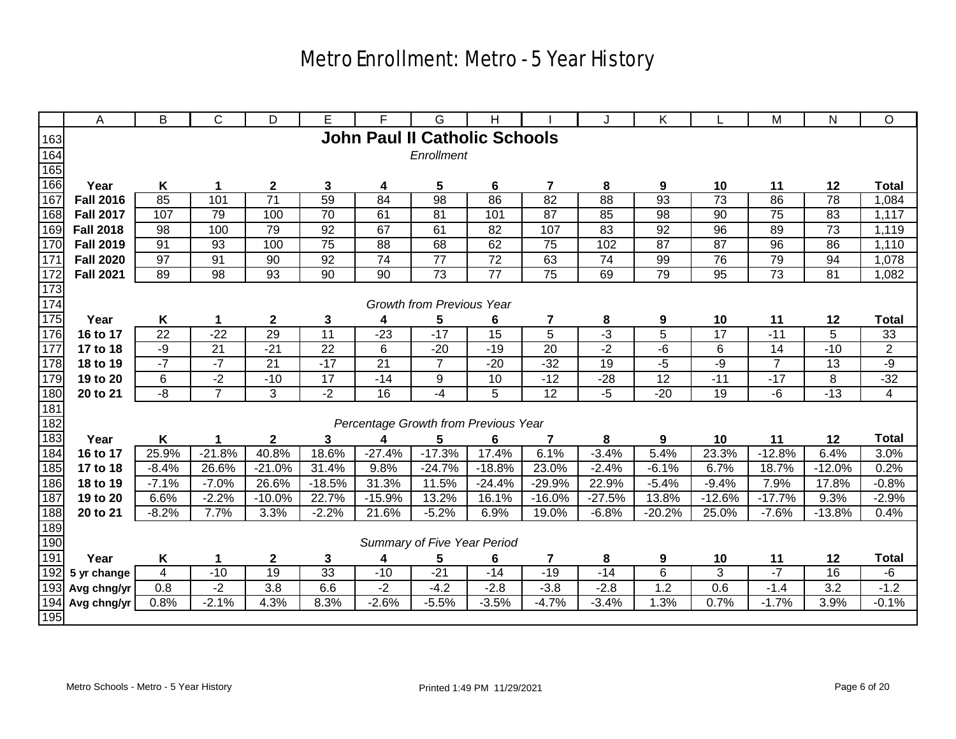|                   | Α                   | B              | C               | D                                   | Е               | F               | G                                    | н               |                 | J          | Κ                   |                 | M              | N                     | O              |
|-------------------|---------------------|----------------|-----------------|-------------------------------------|-----------------|-----------------|--------------------------------------|-----------------|-----------------|------------|---------------------|-----------------|----------------|-----------------------|----------------|
| 163               |                     |                |                 |                                     |                 |                 | <b>John Paul II Catholic Schools</b> |                 |                 |            |                     |                 |                |                       |                |
| 164               |                     |                |                 |                                     |                 |                 | Enrollment                           |                 |                 |            |                     |                 |                |                       |                |
| 165               |                     |                |                 |                                     |                 |                 |                                      |                 |                 |            |                     |                 |                |                       |                |
| 166               | Year                | Κ              | 1               | $\boldsymbol{2}$                    | 3               | 4               | 5                                    | 6               | $\overline{7}$  | 8          | 9                   | 10              | 11             | 12                    | <b>Total</b>   |
| 167               | <b>Fall 2016</b>    | 85             | 101             | $\overline{71}$                     | 59              | 84              | 98                                   | 86              | 82              | 88         | 93                  | $\overline{73}$ | 86             | $\overline{78}$       | 1,084          |
| 168               | <b>Fall 2017</b>    | 107            | 79              | 100                                 | 70              | 61              | 81                                   | 101             | 87              | 85         | 98                  | 90              | 75             | 83                    | 1,117          |
| 169               | <b>Fall 2018</b>    | 98             | 100             | 79                                  | 92              | 67              | 61                                   | 82              | 107             | 83         | 92                  | 96              | 89             | 73                    | 1,119          |
| 170               | <b>Fall 2019</b>    | 91             | 93              | 100                                 | $\overline{75}$ | 88              | 68                                   | 62              | $\overline{75}$ | 102        | $\overline{87}$     | 87              | 96             | 86                    | 1,110          |
| 171               | <b>Fall 2020</b>    | 97             | 91              | 90                                  | 92              | $\overline{74}$ | 77                                   | 72              | 63              | 74         | 99                  | 76              | 79             | 94                    | 1,078          |
| 172               | <b>Fall 2021</b>    | 89             | 98              | 93                                  | 90              | 90              | 73                                   | 77              | $\overline{75}$ | 69         | 79                  | 95              | 73             | 81                    | 1,082          |
| 173               |                     |                |                 |                                     |                 |                 |                                      |                 |                 |            |                     |                 |                |                       |                |
| 174               |                     |                |                 |                                     |                 |                 | <b>Growth from Previous Year</b>     |                 |                 |            |                     |                 |                |                       |                |
| 175               | Year                | Κ              | 1               | $\boldsymbol{2}$                    | 3               | 4               | 5                                    | 6               | 7               | 8          | 9                   | 10              | 11             | 12                    | <b>Total</b>   |
| 176               | 16 to 17            | 22             | $-22$           | 29                                  | $\overline{11}$ | $-23$           | $-17$                                | $\overline{15}$ | 5               | $-3$       | 5                   | 17              | $-11$          | 5                     | 33             |
| $\frac{177}{177}$ | 17 to 18            | $-9$           | $\overline{21}$ | $-21$                               | $\overline{22}$ | 6               | $-20$                                | $-19$           | $\overline{20}$ | $-2$       | $-6$                | 6               | 14             | $-10$                 | $\overline{2}$ |
| 178               | 18 to 19            | $-7$           | $-7$            | $\overline{21}$                     | $-17$           | 21              | $\overline{7}$                       | $-20$           | $-32$           | 19         | $-5$                | $-9$            | $\overline{7}$ | 13                    | $-9$           |
| 179               | 19 to 20            | 6              | $-2$            | $-10$                               | 17              | $-14$           | 9                                    | 10              | $-12$           | $-28$      | 12                  | $-11$           | $-17$          | 8                     | $-32$          |
| 180               | 20 to 21            | $-\frac{8}{3}$ | $\overline{7}$  | 3                                   | $-2$            | 16              | $-4$                                 | 5               | $\overline{12}$ | $-5$       | $-20$               | 19              | $-6$           | $-13$                 | $\overline{4}$ |
| 181               |                     |                |                 |                                     |                 |                 |                                      |                 |                 |            |                     |                 |                |                       |                |
| 182               |                     |                |                 |                                     |                 |                 | Percentage Growth from Previous Year |                 |                 |            |                     |                 |                |                       |                |
| 183               | Year                | Κ              |                 | $\mathbf{2}$                        | 3               | 4               | 5                                    | 6               | 7               | 8          | 9                   | 10              | 11             | 12                    | <b>Total</b>   |
| 184               | 16 to 17            | 25.9%          | $-21.8%$        | 40.8%                               | 18.6%           | $-27.4%$        | $-17.3%$                             | 17.4%           | 6.1%            | $-3.4%$    | 5.4%                | 23.3%           | $-12.8%$       | 6.4%                  | 3.0%           |
| 185               | 17 to 18            | $-8.4%$        | 26.6%           | $-21.0%$                            | 31.4%           | 9.8%            | $-24.7%$                             | $-18.8%$        | 23.0%           | $-2.4%$    | $-6.1%$             | 6.7%            | 18.7%          | $-12.0%$              | 0.2%           |
| 186               | 18 to 19            | $-7.1%$        | $-7.0%$         | 26.6%                               | $-18.5%$        | 31.3%           | 11.5%                                | $-24.4%$        | $-29.9%$        | 22.9%      | $-5.4%$             | $-9.4%$         | 7.9%           | 17.8%                 | $-0.8%$        |
| 187               | 19 to 20            | 6.6%           | $-2.2%$         | $-10.0%$                            | 22.7%           | $-15.9%$        | 13.2%                                | 16.1%           | $-16.0%$        | $-27.5%$   | 13.8%               | $-12.6%$        | $-17.7%$       | 9.3%                  | $-2.9%$        |
| 188               | 20 to 21            | $-8.2%$        | 7.7%            | 3.3%                                | $-2.2%$         | 21.6%           | $-5.2%$                              | 6.9%            | 19.0%           | $-6.8%$    | $-20.2%$            | 25.0%           | $-7.6%$        | $-13.8%$              | 0.4%           |
| 189<br>190        |                     |                |                 |                                     |                 |                 | Summary of Five Year Period          |                 |                 |            |                     |                 |                |                       |                |
| 191               |                     |                |                 |                                     |                 |                 |                                      |                 |                 |            |                     |                 |                |                       | <b>Total</b>   |
| 192               | Year<br>5 yr change | Κ<br>4         | $-10$           | $\boldsymbol{2}$<br>$\overline{19}$ | 3<br>33         | 4<br>$-10$      | 5<br>$-21$                           | 6<br>$-14$      | 7<br>$-19$      | 8<br>$-14$ | 9<br>$6\phantom{1}$ | 10<br>3         | 11<br>$-7$     | 12<br>$\overline{16}$ | -6             |
| 193               | Avg chng/yr         | 0.8            | $-2$            | 3.8                                 | 6.6             | $-2$            | $-4.2$                               | $-2.8$          | $-3.8$          | $-2.8$     | 1.2                 | 0.6             | $-1.4$         | 3.2                   | $-1.2$         |
| 194               | Avg chng/yr         | 0.8%           | $-2.1%$         | 4.3%                                | 8.3%            | $-2.6%$         | $-5.5%$                              | $-3.5%$         | $-4.7%$         | $-3.4%$    | 1.3%                | 0.7%            | $-1.7%$        | 3.9%                  | $-0.1%$        |
| 195               |                     |                |                 |                                     |                 |                 |                                      |                 |                 |            |                     |                 |                |                       |                |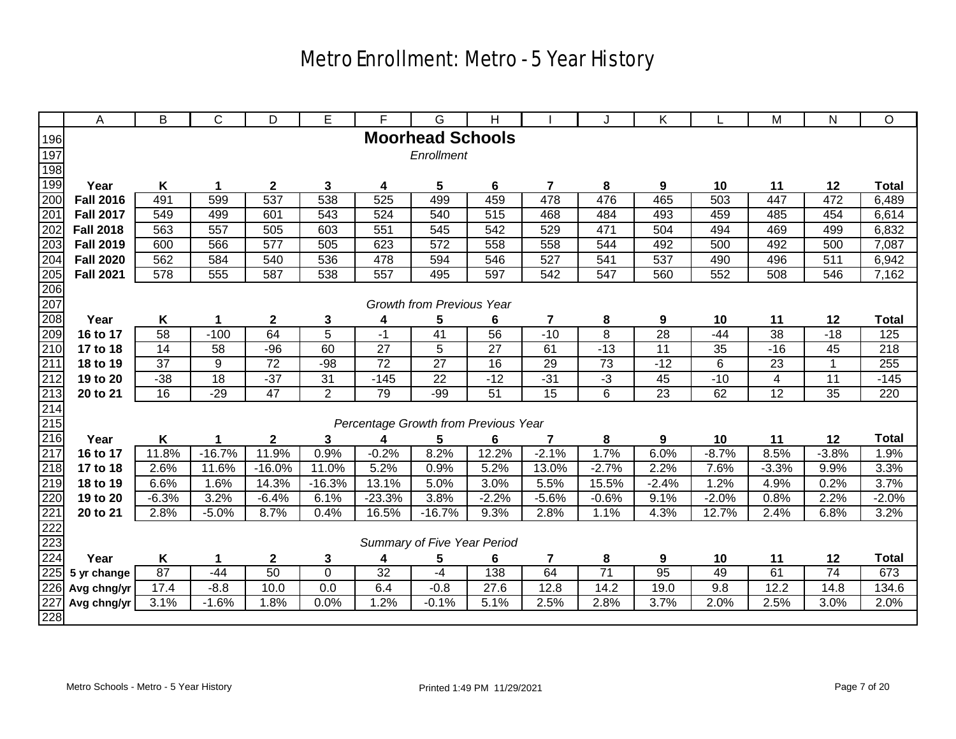|                                      | A                | B               | C               | D                | Е              | F                                    | G                                | Н               |                         | J               | Κ               |                 | M                       | N               | O            |
|--------------------------------------|------------------|-----------------|-----------------|------------------|----------------|--------------------------------------|----------------------------------|-----------------|-------------------------|-----------------|-----------------|-----------------|-------------------------|-----------------|--------------|
| 196                                  |                  |                 |                 |                  |                |                                      | <b>Moorhead Schools</b>          |                 |                         |                 |                 |                 |                         |                 |              |
| 197                                  |                  |                 |                 |                  |                |                                      | Enrollment                       |                 |                         |                 |                 |                 |                         |                 |              |
| 198                                  |                  |                 |                 |                  |                |                                      |                                  |                 |                         |                 |                 |                 |                         |                 |              |
| 199                                  | Year             | K               | 1               | $\boldsymbol{2}$ | $\mathbf 3$    | 4                                    | 5                                | 6               | $\overline{\mathbf{r}}$ | 8               | 9               | 10              | 11                      | 12              | <b>Total</b> |
| 200                                  | <b>Fall 2016</b> | 491             | 599             | 537              | 538            | 525                                  | 499                              | 459             | 478                     | 476             | 465             | 503             | 447                     | 472             | 6,489        |
| 201                                  | <b>Fall 2017</b> | 549             | 499             | 601              | 543            | 524                                  | 540                              | 515             | 468                     | 484             | 493             | 459             | 485                     | 454             | 6,614        |
| 202                                  | <b>Fall 2018</b> | 563             | 557             | 505              | 603            | 551                                  | 545                              | 542             | 529                     | 471             | 504             | 494             | 469                     | 499             | 6,832        |
| 203                                  | <b>Fall 2019</b> | 600             | 566             | 577              | 505            | 623                                  | 572                              | 558             | 558                     | 544             | 492             | 500             | 492                     | 500             | 7,087        |
| 204                                  | <b>Fall 2020</b> | 562             | 584             | 540              | 536            | 478                                  | 594                              | 546             | $\overline{527}$        | 541             | 537             | 490             | 496                     | 511             | 6,942        |
| 205                                  | <b>Fall 2021</b> | 578             | 555             | 587              | 538            | 557                                  | 495                              | 597             | 542                     | 547             | 560             | 552             | 508                     | 546             | 7,162        |
|                                      |                  |                 |                 |                  |                |                                      |                                  |                 |                         |                 |                 |                 |                         |                 |              |
|                                      |                  |                 |                 |                  |                |                                      | <b>Growth from Previous Year</b> |                 |                         |                 |                 |                 |                         |                 |              |
| 206<br>207<br>208                    | Year             | K               | 1               | $\boldsymbol{2}$ | 3              | 4                                    | 5                                | 6               | 7                       | 8               | 9               | 10              | 11                      | 12              | <b>Total</b> |
| $\frac{209}{210}$                    | 16 to 17         | 58              | $-100$          | 64               | 5              | $-1$                                 | 41                               | 56              | $-10$                   | 8               | $\overline{28}$ | $-44$           | 38                      | $-18$           | 125          |
|                                      | 17 to 18         | $\overline{14}$ | $\overline{58}$ | $-96$            | 60             | $\overline{27}$                      | 5                                | $\overline{27}$ | 61                      | $-13$           | $\overline{11}$ | $\overline{35}$ | $-16$                   | 45              | 218          |
| 211                                  | 18 to 19         | 37              | 9               | 72               | $-98$          | 72                                   | 27                               | 16              | 29                      | 73              | $-12$           | 6               | 23                      | $\mathbf{1}$    | 255          |
|                                      | 19 to 20         | $-38$           | 18              | $-37$            | 31             | $-145$                               | 22                               | $-12$           | $-31$                   | $-3$            | 45              | $-10$           | $\overline{\mathbf{4}}$ | 11              | $-145$       |
|                                      | 20 to 21         | $\overline{16}$ | $-29$           | 47               | $\overline{2}$ | 79                                   | $-99$                            | 51              | 15                      | $\overline{6}$  | $\overline{23}$ | 62              | $\overline{12}$         | $\overline{35}$ | 220          |
|                                      |                  |                 |                 |                  |                |                                      |                                  |                 |                         |                 |                 |                 |                         |                 |              |
| 212<br>213<br>215<br>216<br>217      |                  |                 |                 |                  |                | Percentage Growth from Previous Year |                                  |                 |                         |                 |                 |                 |                         |                 |              |
|                                      | Year             | Κ               | 1               | $\mathbf{2}$     | 3              | 4                                    | 5                                | 6               | 7                       | 8               | 9               | 10              | 11                      | 12              | <b>Total</b> |
|                                      | 16 to 17         | 11.8%           | $-16.7%$        | 11.9%            | 0.9%           | $-0.2%$                              | 8.2%                             | 12.2%           | $-2.1%$                 | 1.7%            | 6.0%            | $-8.7%$         | 8.5%                    | $-3.8%$         | 1.9%         |
| 218                                  | 17 to 18         | 2.6%            | 11.6%           | $-16.0%$         | 11.0%          | 5.2%                                 | 0.9%                             | 5.2%            | 13.0%                   | $-2.7%$         | 2.2%            | 7.6%            | $-3.3%$                 | 9.9%            | 3.3%         |
| 219<br>220                           | 18 to 19         | 6.6%            | 1.6%            | 14.3%            | $-16.3%$       | 13.1%                                | 5.0%                             | 3.0%            | 5.5%                    | 15.5%           | $-2.4%$         | 1.2%            | 4.9%                    | 0.2%            | 3.7%         |
|                                      | 19 to 20         | $-6.3%$         | 3.2%            | $-6.4%$          | 6.1%           | $-23.3%$                             | 3.8%                             | $-2.2%$         | $-5.6%$                 | $-0.6%$         | 9.1%            | $-2.0%$         | 0.8%                    | 2.2%            | $-2.0%$      |
|                                      | 20 to 21         | 2.8%            | $-5.0%$         | 8.7%             | 0.4%           | 16.5%                                | $-16.7%$                         | 9.3%            | 2.8%                    | 1.1%            | 4.3%            | 12.7%           | 2.4%                    | 6.8%            | 3.2%         |
| $\frac{1}{221}$<br>$\frac{223}{224}$ |                  |                 |                 |                  |                |                                      |                                  |                 |                         |                 |                 |                 |                         |                 |              |
|                                      |                  |                 |                 |                  |                |                                      | Summary of Five Year Period      |                 |                         |                 |                 |                 |                         |                 |              |
|                                      | Year             | Κ               | 1               | $\boldsymbol{2}$ | 3              | 4                                    | 5                                | 6               | 7                       | 8               | 9               | 10              | 11                      | 12              | <b>Total</b> |
| 225                                  | 5 yr change      | 87              | $-44$           | 50               | $\pmb{0}$      | 32                                   | -4                               | 138             | 64                      | $\overline{71}$ | $\overline{95}$ | 49              | 61                      | $\overline{74}$ | 673          |
| 226                                  | Avg chng/yr      | 17.4            | $-8.8$          | 10.0             | 0.0            | 6.4                                  | $-0.8$                           | 27.6            | 12.8                    | 14.2            | 19.0            | 9.8             | 12.2                    | 14.8            | 134.6        |
| 227                                  | Avg chng/yr      | 3.1%            | $-1.6%$         | 1.8%             | 0.0%           | .2%                                  | $-0.1%$                          | 5.1%            | 2.5%                    | 2.8%            | 3.7%            | 2.0%            | 2.5%                    | 3.0%            | 2.0%         |
| 228                                  |                  |                 |                 |                  |                |                                      |                                  |                 |                         |                 |                 |                 |                         |                 |              |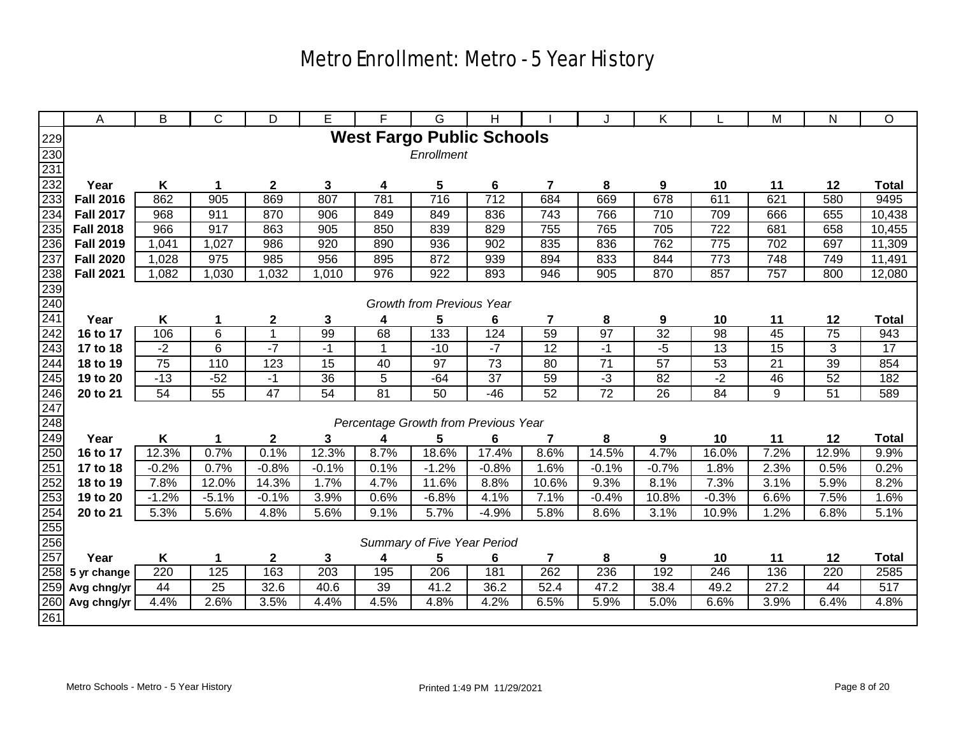|                                        | A                | B               | С                | D                | E           | F                                    | G                                | н               |                         | J               | Κ               |                 | M               | N               | O               |
|----------------------------------------|------------------|-----------------|------------------|------------------|-------------|--------------------------------------|----------------------------------|-----------------|-------------------------|-----------------|-----------------|-----------------|-----------------|-----------------|-----------------|
|                                        |                  |                 |                  |                  |             | <b>West Fargo Public Schools</b>     |                                  |                 |                         |                 |                 |                 |                 |                 |                 |
| $\frac{229}{230}$                      |                  |                 |                  |                  |             |                                      | Enrollment                       |                 |                         |                 |                 |                 |                 |                 |                 |
| 231                                    |                  |                 |                  |                  |             |                                      |                                  |                 |                         |                 |                 |                 |                 |                 |                 |
| 232                                    | Year             | K               | 1                | $\boldsymbol{2}$ | $\mathbf 3$ | 4                                    | 5                                | 6               | $\overline{7}$          | 8               | 9               | 10              | 11              | 12              | <b>Total</b>    |
| 233                                    | <b>Fall 2016</b> | 862             | 905              | 869              | 807         | 781                                  | $\overline{716}$                 | 712             | 684                     | 669             | 678             | 611             | 621             | 580             | 9495            |
| 234                                    | <b>Fall 2017</b> | 968             | 911              | 870              | 906         | 849                                  | 849                              | 836             | 743                     | 766             | 710             | 709             | 666             | 655             | 10,438          |
| 235                                    | <b>Fall 2018</b> | 966             | 917              | 863              | 905         | 850                                  | 839                              | 829             | 755                     | 765             | 705             | 722             | 681             | 658             | 10,455          |
| 236                                    | <b>Fall 2019</b> | 1,041           | 1,027            | 986              | 920         | 890                                  | 936                              | 902             | 835                     | 836             | 762             | 775             | 702             | 697             | 11,309          |
| 237                                    | <b>Fall 2020</b> | 1,028           | $\overline{975}$ | 985              | 956         | 895                                  | 872                              | 939             | 894                     | 833             | 844             | 773             | 748             | 749             | 11,491          |
| 238                                    | <b>Fall 2021</b> | 1,082           | 1,030            | 1,032            | 1,010       | 976                                  | 922                              | 893             | 946                     | 905             | 870             | 857             | 757             | 800             | 12,080          |
|                                        |                  |                 |                  |                  |             |                                      |                                  |                 |                         |                 |                 |                 |                 |                 |                 |
|                                        |                  |                 |                  |                  |             |                                      | <b>Growth from Previous Year</b> |                 |                         |                 |                 |                 |                 |                 |                 |
| $\frac{239}{240}$<br>$\frac{240}{241}$ | Year             | Κ               | 1                | $\mathbf 2$      | 3           | 4                                    | 5                                | 6               | $\overline{\mathbf{r}}$ | 8               | 9               | 10              | 11              | 12              | <b>Total</b>    |
| 242                                    | 16 to 17         | 106             | 6                | $\mathbf{1}$     | 99          | 68                                   | 133                              | 124             | 59                      | 97              | $\overline{32}$ | 98              | 45              | $\overline{75}$ | 943             |
| 243                                    | 17 to 18         | $-2$            | $\overline{6}$   | $-7$             | $-1$        | $\mathbf{1}$                         | $-10$                            | $-7$            | 12                      | $-1$            | $-5$            | $\overline{13}$ | $\overline{15}$ | 3               | $\overline{17}$ |
| 244                                    | 18 to 19         | $\overline{75}$ | 110              | 123              | 15          | 40                                   | 97                               | $\overline{73}$ | 80                      | $\overline{71}$ | 57              | 53              | 21              | 39              | 854             |
| 245                                    | 19 to 20         | $-13$           | $-52$            | $-1$             | 36          | 5                                    | $-64$                            | 37              | 59                      | $-3$            | 82              | $-2$            | 46              | 52              | 182             |
|                                        | 20 to 21         | 54              | $\overline{55}$  | $\overline{47}$  | 54          | 81                                   | $\overline{50}$                  | $-46$           | 52                      | $\overline{72}$ | 26              | 84              | 9               | 51              | 589             |
| $\frac{246}{247}$                      |                  |                 |                  |                  |             |                                      |                                  |                 |                         |                 |                 |                 |                 |                 |                 |
|                                        |                  |                 |                  |                  |             | Percentage Growth from Previous Year |                                  |                 |                         |                 |                 |                 |                 |                 |                 |
| 249                                    | Year             | Κ               | 1                | $\mathbf 2$      | 3           | 4                                    | 5                                | 6               | 7                       | 8               | 9               | 10              | 11              | 12              | <b>Total</b>    |
| 250                                    | 16 to 17         | 12.3%           | 0.7%             | 0.1%             | 12.3%       | 8.7%                                 | 18.6%                            | 17.4%           | 8.6%                    | 14.5%           | 4.7%            | 16.0%           | 7.2%            | 12.9%           | 9.9%            |
| $\frac{251}{252}$                      | 17 to 18         | $-0.2%$         | 0.7%             | $-0.8%$          | $-0.1%$     | 0.1%                                 | $-1.2%$                          | $-0.8%$         | 1.6%                    | $-0.1%$         | $-0.7%$         | 1.8%            | 2.3%            | 0.5%            | 0.2%            |
|                                        | 18 to 19         | 7.8%            | 12.0%            | 14.3%            | 1.7%        | 4.7%                                 | 11.6%                            | 8.8%            | 10.6%                   | 9.3%            | 8.1%            | 7.3%            | 3.1%            | 5.9%            | 8.2%            |
| 253                                    | 19 to 20         | $-1.2%$         | $-5.1%$          | $-0.1%$          | 3.9%        | 0.6%                                 | $-6.8%$                          | 4.1%            | 7.1%                    | $-0.4%$         | 10.8%           | $-0.3%$         | 6.6%            | 7.5%            | 1.6%            |
|                                        | 20 to 21         | 5.3%            | 5.6%             | 4.8%             | 5.6%        | 9.1%                                 | 5.7%                             | $-4.9%$         | 5.8%                    | 8.6%            | 3.1%            | 10.9%           | 1.2%            | 6.8%            | 5.1%            |
| $\frac{254}{255}$                      |                  |                 |                  |                  |             |                                      |                                  |                 |                         |                 |                 |                 |                 |                 |                 |
|                                        |                  |                 |                  |                  |             |                                      | Summary of Five Year Period      |                 |                         |                 |                 |                 |                 |                 |                 |
| 257                                    | Year             | K               | 1                | $\mathbf{2}$     | 3           | 4                                    | 5                                | 6               | 7                       | 8               | 9               | 10              | 11              | 12              | <b>Total</b>    |
| 258                                    | 5 yr change      | 220             | 125              | 163              | 203         | 195                                  | 206                              | 181             | 262                     | 236             | 192             | 246             | 136             | 220             | 2585            |
| 259                                    | Avg chng/yr      | 44              | $\overline{25}$  | 32.6             | 40.6        | 39                                   | 41.2                             | 36.2            | 52.4                    | 47.2            | 38.4            | 49.2            | 27.2            | 44              | 517             |
| 260                                    | Avg chng/yr      | 4.4%            | 2.6%             | 3.5%             | 4.4%        | 4.5%                                 | 4.8%                             | 4.2%            | 6.5%                    | 5.9%            | 5.0%            | 6.6%            | 3.9%            | 6.4%            | 4.8%            |
| 261                                    |                  |                 |                  |                  |             |                                      |                                  |                 |                         |                 |                 |                 |                 |                 |                 |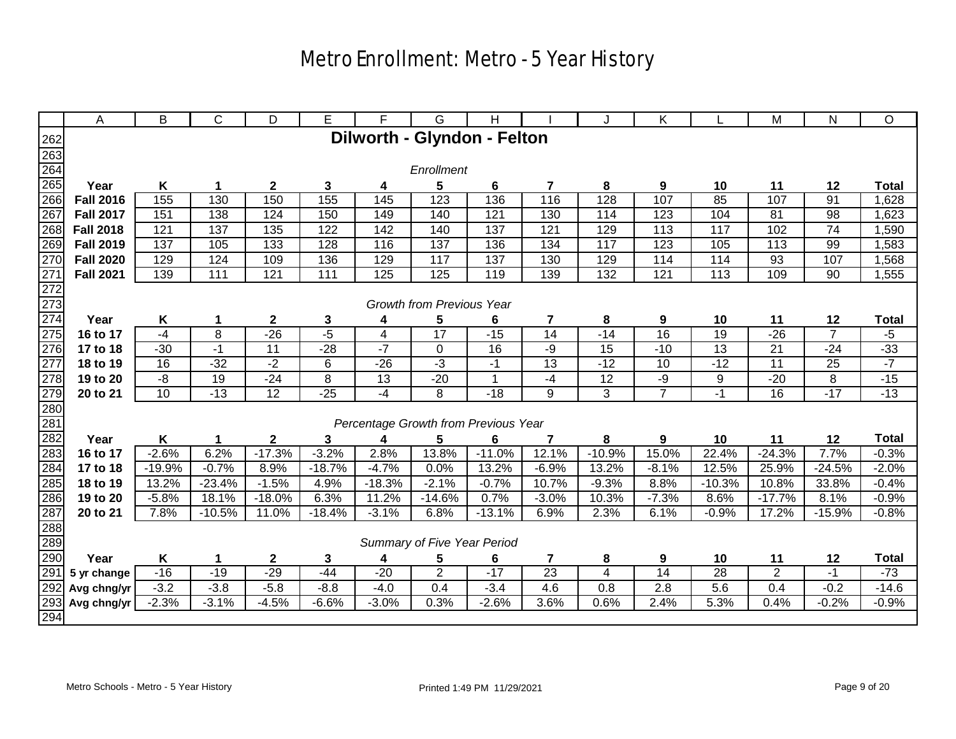|                          | A                | B              | C              | D            | E        | F                                    | G                                | Н            |                 |          | Κ               |                 | M              | N              | O            |
|--------------------------|------------------|----------------|----------------|--------------|----------|--------------------------------------|----------------------------------|--------------|-----------------|----------|-----------------|-----------------|----------------|----------------|--------------|
|                          |                  |                |                |              |          | Dilworth - Glyndon - Felton          |                                  |              |                 |          |                 |                 |                |                |              |
| $\frac{262}{263}$        |                  |                |                |              |          |                                      |                                  |              |                 |          |                 |                 |                |                |              |
| 264                      |                  |                |                |              |          |                                      | Enrollment                       |              |                 |          |                 |                 |                |                |              |
| 265                      | Year             | Κ              |                | $\mathbf{2}$ | 3        | 4                                    | 5                                | 6            | 7               | 8        | 9               | 10              | 11             | 12             | <b>Total</b> |
| 266                      | <b>Fall 2016</b> | 155            | 130            | 150          | 155      | 145                                  | 123                              | 136          | 116             | 128      | 107             | 85              | 107            | 91             | 1,628        |
| 267                      | <b>Fall 2017</b> | 151            | 138            | 124          | 150      | 149                                  | 140                              | 121          | 130             | 114      | 123             | 104             | 81             | 98             | 1,623        |
| 268                      | <b>Fall 2018</b> | 121            | 137            | 135          | 122      | 142                                  | 140                              | 137          | 121             | 129      | 113             | 117             | 102            | 74             | 1,590        |
| 269                      | <b>Fall 2019</b> | 137            | 105            | 133          | 128      | 116                                  | 137                              | 136          | 134             | 117      | 123             | 105             | 113            | 99             | 1,583        |
| 270                      | <b>Fall 2020</b> | 129            | 124            | 109          | 136      | 129                                  | 117                              | 137          | 130             | 129      | 114             | 114             | 93             | 107            | 1,568        |
| 271                      | <b>Fall 2021</b> | 139            | 111            | 121          | 111      | 125                                  | 125                              | 119          | 139             | 132      | 121             | 113             | 109            | 90             | 1,555        |
| 272<br>273<br>274<br>275 |                  |                |                |              |          |                                      |                                  |              |                 |          |                 |                 |                |                |              |
|                          |                  |                |                |              |          |                                      | <b>Growth from Previous Year</b> |              |                 |          |                 |                 |                |                |              |
|                          | Year             | K              | 1              | $\mathbf{2}$ | 3        | 4                                    | 5                                | 6            | 7               | 8        | 9               | 10              | 11             | 12             | <b>Total</b> |
|                          | 16 to 17         | $-4$           | $\overline{8}$ | $-26$        | $-5$     | 4                                    | 17                               | $-15$        | $\overline{14}$ | $-14$    | $\overline{16}$ | $\overline{19}$ | $-26$          | $\overline{7}$ | $-5$         |
| 276                      | 17 to 18         | $-30$          | $-1$           | 11           | $-28$    | $-7$                                 | 0                                | 16           | -9              | 15       | $-10$           | 13              | 21             | $-24$          | $-33$        |
| 277                      | 18 to 19         | 16             | $-32$          | $-2$         | 6        | $-26$                                | $-3$                             | $-1$         | 13              | $-12$    | 10              | $-12$           | 11             | 25             | $-7$         |
| 278                      | 19 to 20         | $-\frac{8}{3}$ | 19             | $-24$        | 8        | $\overline{13}$                      | $-20$                            | $\mathbf{1}$ | $-4$            | 12       | $-9$            | 9               | $-20$          | $\overline{8}$ | $-15$        |
| 279<br>280<br>281        | 20 to 21         | 10             | $-13$          | 12           | $-25$    | $-4$                                 | 8                                | $-18$        | 9               | 3        | $\overline{7}$  | -1              | 16             | $-17$          | $-13$        |
|                          |                  |                |                |              |          |                                      |                                  |              |                 |          |                 |                 |                |                |              |
|                          |                  |                |                |              |          | Percentage Growth from Previous Year |                                  |              |                 |          |                 |                 |                |                |              |
| 282                      | Year             | K              |                | $\mathbf{2}$ | 3        | 4                                    | 5                                | 6            | 7               | 8        | 9               | 10              | 11             | 12             | <b>Total</b> |
| 283                      | 16 to 17         | $-2.6%$        | 6.2%           | $-17.3%$     | $-3.2%$  | 2.8%                                 | 13.8%                            | $-11.0%$     | 12.1%           | $-10.9%$ | 15.0%           | 22.4%           | $-24.3%$       | 7.7%           | $-0.3%$      |
| 284                      | 17 to 18         | $-19.9%$       | $-0.7%$        | 8.9%         | $-18.7%$ | $-4.7%$                              | 0.0%                             | 13.2%        | $-6.9%$         | 13.2%    | $-8.1%$         | 12.5%           | 25.9%          | $-24.5%$       | $-2.0%$      |
| 285                      | 18 to 19         | 13.2%          | $-23.4%$       | $-1.5%$      | 4.9%     | $-18.3%$                             | $-2.1%$                          | $-0.7%$      | 10.7%           | $-9.3%$  | 8.8%            | $-10.3%$        | 10.8%          | 33.8%          | $-0.4%$      |
| 286                      | 19 to 20         | $-5.8%$        | 18.1%          | $-18.0%$     | 6.3%     | 11.2%                                | $-14.6%$                         | 0.7%         | $-3.0%$         | 10.3%    | $-7.3%$         | 8.6%            | $-17.7%$       | 8.1%           | $-0.9%$      |
| 287                      | 20 to 21         | 7.8%           | $-10.5%$       | 11.0%        | $-18.4%$ | $-3.1%$                              | 6.8%                             | $-13.1%$     | 6.9%            | 2.3%     | 6.1%            | $-0.9%$         | 17.2%          | $-15.9%$       | $-0.8%$      |
| 288                      |                  |                |                |              |          |                                      |                                  |              |                 |          |                 |                 |                |                |              |
| 289                      |                  |                |                |              |          |                                      | Summary of Five Year Period      |              |                 |          |                 |                 |                |                |              |
| 290                      | Year             | K              | 1              | $\mathbf{2}$ | 3        | 4                                    | 5                                | 6            | 7               | 8        | 9               | 10              | 11             | 12             | <b>Total</b> |
| 291                      | 5 yr change      | $-16$          | $-19$          | $-29$        | $-44$    | $-20$                                | $\overline{2}$                   | $-17$        | 23              | 4        | 14              | $\overline{28}$ | $\overline{2}$ | $-1$           | $-73$        |
| 292                      | Avg chng/yr      | $-3.2$         | $-3.8$         | $-5.8$       | $-8.8$   | $-4.0$                               | 0.4                              | $-3.4$       | 4.6             | 0.8      | 2.8             | 5.6             | 0.4            | $-0.2$         | $-14.6$      |
| 293                      | Avg chng/yr      | $-2.3%$        | $-3.1%$        | $-4.5%$      | $-6.6%$  | $-3.0%$                              | 0.3%                             | $-2.6%$      | 3.6%            | 0.6%     | 2.4%            | 5.3%            | 0.4%           | $-0.2%$        | $-0.9%$      |
| 294                      |                  |                |                |              |          |                                      |                                  |              |                 |          |                 |                 |                |                |              |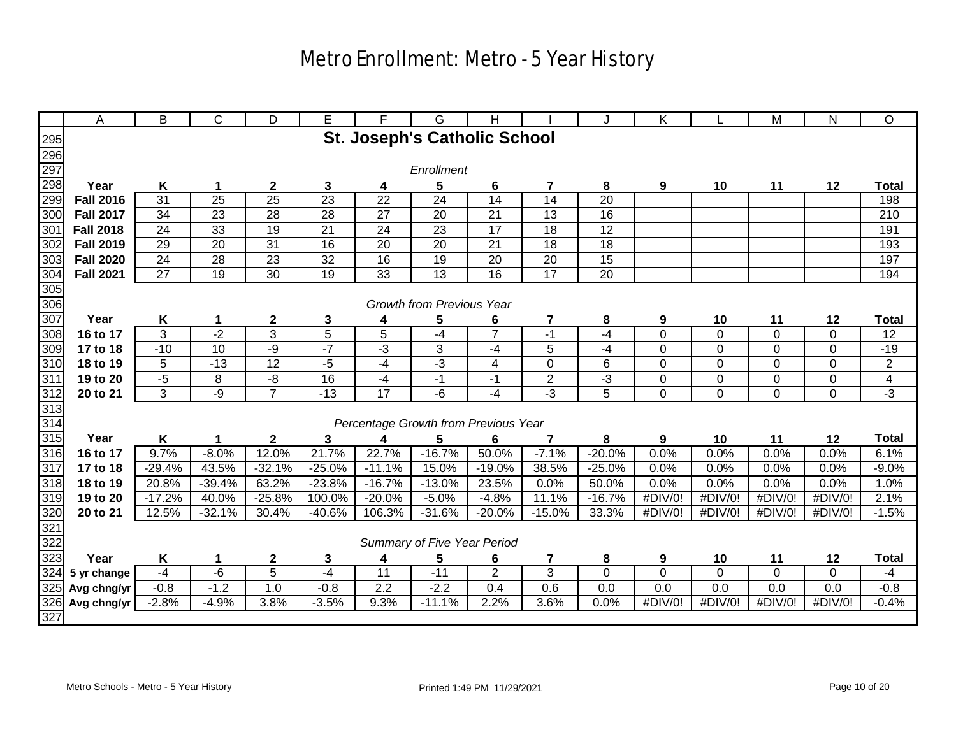|                          | A                | B        | С               | D                | Е               | F                | G                                    | н                       |                         |                 | Κ              |             | M           | N              | O              |
|--------------------------|------------------|----------|-----------------|------------------|-----------------|------------------|--------------------------------------|-------------------------|-------------------------|-----------------|----------------|-------------|-------------|----------------|----------------|
|                          |                  |          |                 |                  |                 |                  | <b>St. Joseph's Catholic School</b>  |                         |                         |                 |                |             |             |                |                |
|                          |                  |          |                 |                  |                 |                  |                                      |                         |                         |                 |                |             |             |                |                |
| 295<br>296<br>297<br>298 |                  |          |                 |                  |                 |                  | Enrollment                           |                         |                         |                 |                |             |             |                |                |
|                          | Year             | K        | 1               | $\boldsymbol{2}$ | 3               | 4                | 5                                    | 6                       | $\overline{\mathbf{z}}$ | 8               | 9              | 10          | 11          | 12             | <b>Total</b>   |
| 299                      | <b>Fall 2016</b> | 31       | 25              | $\overline{25}$  | $\overline{23}$ | 22               | 24                                   | 14                      | 14                      | 20              |                |             |             |                | 198            |
| 300                      | <b>Fall 2017</b> | 34       | 23              | 28               | 28              | 27               | 20                                   | 21                      | 13                      | 16              |                |             |             |                | 210            |
| 301                      | <b>Fall 2018</b> | 24       | 33              | 19               | 21              | 24               | 23                                   | 17                      | 18                      | $\overline{12}$ |                |             |             |                | 191            |
| 302                      | <b>Fall 2019</b> | 29       | 20              | $\overline{31}$  | 16              | 20               | 20                                   | 21                      | 18                      | 18              |                |             |             |                | 193            |
| 303                      | <b>Fall 2020</b> | 24       | 28              | 23               | 32              | 16               | 19                                   | 20                      | 20                      | 15              |                |             |             |                | 197            |
| 304                      | <b>Fall 2021</b> | 27       | $\overline{19}$ | 30               | 19              | $\overline{33}$  | $\overline{13}$                      | $\overline{16}$         | $\overline{17}$         | 20              |                |             |             |                | 194            |
| 305                      |                  |          |                 |                  |                 |                  |                                      |                         |                         |                 |                |             |             |                |                |
| 306                      |                  |          |                 |                  |                 |                  | Growth from Previous Year            |                         |                         |                 |                |             |             |                |                |
| 307                      | Year             | Κ        | 1               | $\boldsymbol{2}$ | 3               | 4                | 5                                    | 6                       | $\overline{\mathbf{r}}$ | 8               | 9              | 10          | 11          | 12             | <b>Total</b>   |
| 308                      | 16 to 17         | 3        | $-2$            | $\overline{3}$   | $\overline{5}$  | $\overline{5}$   | -4                                   | $\overline{7}$          | $-1$                    | -4              | $\mathbf 0$    | 0           | $\mathbf 0$ | $\mathbf 0$    | 12             |
| 309                      | 17 to 18         | $-10$    | 10              | $-9$             | $-7$            | $-3$             | $\sqrt{3}$                           | $-4$                    | 5                       | -4              | $\mathbf 0$    | 0           | $\mathbf 0$ | $\mathbf 0$    | $-19$          |
| 310                      | 18 to 19         | 5        | $-13$           | 12               | $-5$            | $-4$             | $\overline{3}$                       | $\overline{\mathbf{4}}$ | $\overline{0}$          | 6               | $\overline{0}$ | $\mathbf 0$ | $\mathbf 0$ | $\overline{0}$ | $\overline{2}$ |
| 311                      | 19 to 20         | $-5$     | 8               | -8               | 16              | $-4$             | $-1$                                 | -1                      | $\overline{2}$          | $-3$            | 0              | 0           | $\mathbf 0$ | $\pmb{0}$      | $\overline{4}$ |
|                          | 20 to 21         | 3        | $-9$            | $\overline{7}$   | $-13$           | 17               | -6                                   | $-4$                    | $-3$                    | 5               | $\mathbf 0$    | 0           | $\mathbf 0$ | 0              | $\overline{3}$ |
|                          |                  |          |                 |                  |                 |                  |                                      |                         |                         |                 |                |             |             |                |                |
| $\frac{312}{313}$        |                  |          |                 |                  |                 |                  | Percentage Growth from Previous Year |                         |                         |                 |                |             |             |                |                |
| 315                      | Year             | Κ        | 1               | 2                | 3               | 4                | 5                                    | 6                       | 7                       | 8               | 9              | 10          | 11          | 12             | <b>Total</b>   |
| 316                      | 16 to 17         | 9.7%     | $-8.0%$         | 12.0%            | 21.7%           | 22.7%            | $-16.7%$                             | 50.0%                   | $-7.1%$                 | $-20.0%$        | 0.0%           | 0.0%        | 0.0%        | 0.0%           | 6.1%           |
| $\overline{317}$         | 17 to 18         | $-29.4%$ | 43.5%           | $-32.1%$         | $-25.0%$        | $-11.1%$         | 15.0%                                | $-19.0%$                | 38.5%                   | $-25.0%$        | 0.0%           | 0.0%        | 0.0%        | 0.0%           | $-9.0%$        |
| 318                      | 18 to 19         | 20.8%    | $-39.4%$        | 63.2%            | $-23.8%$        | $-16.7%$         | $-13.0%$                             | 23.5%                   | 0.0%                    | 50.0%           | 0.0%           | 0.0%        | 0.0%        | 0.0%           | 1.0%           |
| 319                      | 19 to 20         | $-17.2%$ | 40.0%           | $-25.8%$         | 100.0%          | $-20.0%$         | $-5.0%$                              | $-4.8%$                 | 11.1%                   | $-16.7%$        | #DIV/0!        | #DIV/0!     | #DIV/0!     | #DIV/0!        | 2.1%           |
|                          | 20 to 21         | 12.5%    | $-32.1%$        | 30.4%            | $-40.6%$        | 106.3%           | $-31.6%$                             | $-20.0%$                | $-15.0%$                | 33.3%           | #DIV/0!        | #DIV/0!     | #DIV/0!     | #DIV/0!        | $-1.5%$        |
| $\frac{320}{321}$        |                  |          |                 |                  |                 |                  |                                      |                         |                         |                 |                |             |             |                |                |
|                          |                  |          |                 |                  |                 |                  | Summary of Five Year Period          |                         |                         |                 |                |             |             |                |                |
| 323                      | Year             | K        | 1               | $\boldsymbol{2}$ | 3               | 4                | 5                                    | 6                       | 7                       | 8               | 9              | 10          | 11          | 12             | <b>Total</b>   |
| 324                      | 5 yr change      | $-4$     | $-6$            | 5                | $-4$            | 11               | $-11$                                | $\overline{2}$          | 3                       | 0               | $\mathbf 0$    | 0           | 0           | 0              | -4             |
| 325                      | Avg chng/yr      | $-0.8$   | $-1.2$          | 1.0              | $-0.8$          | $\overline{2.2}$ | $-2.2$                               | 0.4                     | 0.6                     | 0.0             | 0.0            | 0.0         | 0.0         | 0.0            | $-0.8$         |
| 326                      | Avg chng/yr      | $-2.8%$  | $-4.9%$         | 3.8%             | $-3.5%$         | 9.3%             | $-11.1%$                             | 2.2%                    | 3.6%                    | 0.0%            | #DIV/0!        | #DIV/0!     | #DIV/0!     | #DIV/0!        | $-0.4%$        |
| 327                      |                  |          |                 |                  |                 |                  |                                      |                         |                         |                 |                |             |             |                |                |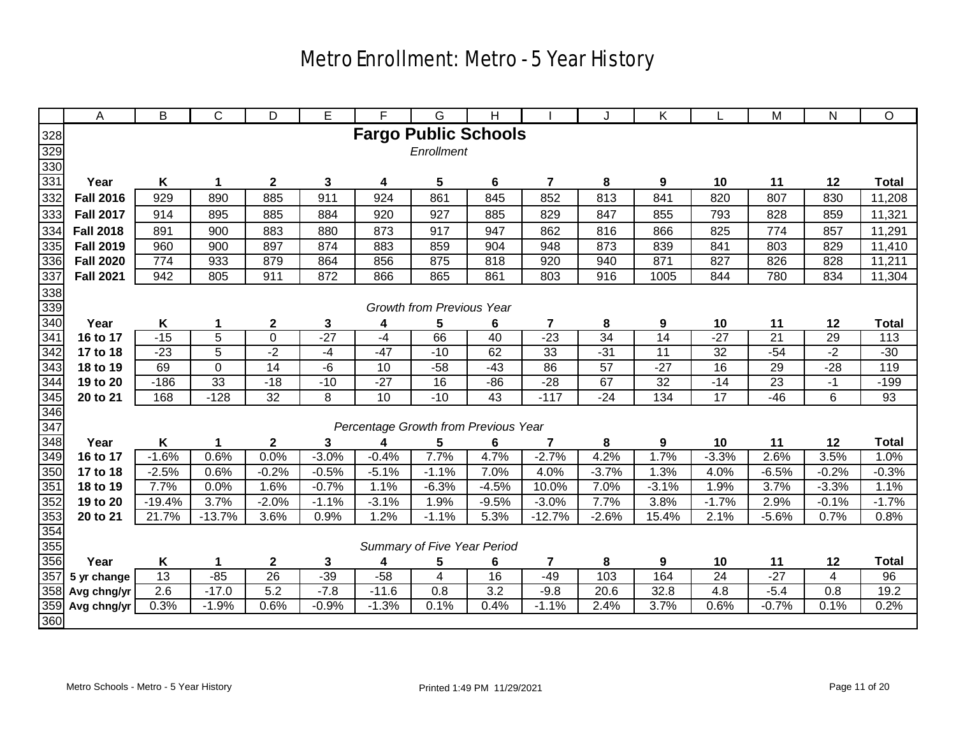|            | A                | B        | C               | D                | E            | F                                    | G                           | н               |                         | J               | Κ       |                 | M               | N       | O                |
|------------|------------------|----------|-----------------|------------------|--------------|--------------------------------------|-----------------------------|-----------------|-------------------------|-----------------|---------|-----------------|-----------------|---------|------------------|
| 328        |                  |          |                 |                  |              | <b>Fargo Public Schools</b>          |                             |                 |                         |                 |         |                 |                 |         |                  |
|            |                  |          |                 |                  |              |                                      | Enrollment                  |                 |                         |                 |         |                 |                 |         |                  |
| 329<br>330 |                  |          |                 |                  |              |                                      |                             |                 |                         |                 |         |                 |                 |         |                  |
| 331        | Year             | Κ        | 1               | $\overline{2}$   | $\mathbf{3}$ | 4                                    | $5\phantom{.0}$             | 6               | $\overline{\mathbf{7}}$ | 8               | 9       | 10              | 11              | 12      | <b>Total</b>     |
| 332        | <b>Fall 2016</b> | 929      | 890             | 885              | 911          | 924                                  | 861                         | 845             | 852                     | 813             | 841     | 820             | 807             | 830     | 11,208           |
| 333        | <b>Fall 2017</b> | 914      | 895             | 885              | 884          | 920                                  | 927                         | 885             | 829                     | 847             | 855     | 793             | 828             | 859     | 11,321           |
| 334        | <b>Fall 2018</b> | 891      | 900             | 883              | 880          | 873                                  | 917                         | 947             | 862                     | 816             | 866     | 825             | 774             | 857     | 11,291           |
| 335        | <b>Fall 2019</b> | 960      | 900             | 897              | 874          | 883                                  | 859                         | 904             | 948                     | 873             | 839     | 841             | 803             | 829     | 11,410           |
| 336        | <b>Fall 2020</b> | 774      | 933             | 879              | 864          | 856                                  | 875                         | 818             | 920                     | 940             | 871     | 827             | 826             | 828     | 11,211           |
| 337        | <b>Fall 2021</b> | 942      | 805             | 911              | 872          | 866                                  | 865                         | 861             | 803                     | 916             | 1005    | 844             | 780             | 834     | 11,304           |
|            |                  |          |                 |                  |              |                                      |                             |                 |                         |                 |         |                 |                 |         |                  |
| 338<br>339 |                  |          |                 |                  |              |                                      | Growth from Previous Year   |                 |                         |                 |         |                 |                 |         |                  |
| 340        | Year             | Κ        | 1               | $\boldsymbol{2}$ | 3            | 4                                    | 5                           | 6               | 7                       | 8               | 9       | 10              | 11              | 12      | <b>Total</b>     |
| 341        | 16 to 17         | $-15$    | $\overline{5}$  | $\overline{0}$   | $-27$        | $-4$                                 | 66                          | 40              | $-23$                   | 34              | 14      | $-27$           | $\overline{21}$ | 29      | $\overline{113}$ |
| 342        | 17 to 18         | $-23$    | 5               | $-2$             | -4           | $-47$                                | $-10$                       | 62              | 33                      | $-31$           | 11      | 32              | $-54$           | $-2$    | $-30$            |
| 343        | 18 to 19         | 69       | 0               | $\overline{14}$  | -6           | 10                                   | $-58$                       | $-43$           | 86                      | $\overline{57}$ | $-27$   | $\overline{16}$ | 29              | $-28$   | 119              |
| 344        | 19 to 20         | $-186$   | $\overline{33}$ | $-18$            | $-10$        | $-27$                                | 16                          | $-86$           | $-28$                   | 67              | 32      | $-14$           | 23              | $-1$    | $-199$           |
| 345        | 20 to 21         | 168      | $-128$          | 32               | 8            | $\overline{10}$                      | $-10$                       | 43              | $-117$                  | $-24$           | 134     | 17              | $-46$           | 6       | 93               |
| 346        |                  |          |                 |                  |              |                                      |                             |                 |                         |                 |         |                 |                 |         |                  |
| 347        |                  |          |                 |                  |              | Percentage Growth from Previous Year |                             |                 |                         |                 |         |                 |                 |         |                  |
| 348        | Year             | Κ        |                 | $\mathbf 2$      | 3            | 4                                    | 5                           | 6               | 7                       | 8               | 9       | 10              | 11              | 12      | <b>Total</b>     |
| 349        | 16 to 17         | $-1.6%$  | 0.6%            | 0.0%             | $-3.0%$      | $-0.4%$                              | 7.7%                        | 4.7%            | $-2.7%$                 | 4.2%            | 1.7%    | $-3.3%$         | 2.6%            | 3.5%    | 1.0%             |
| 350        | 17 to 18         | $-2.5%$  | 0.6%            | $-0.2%$          | $-0.5%$      | $-5.1%$                              | $-1.1%$                     | 7.0%            | 4.0%                    | $-3.7%$         | 1.3%    | 4.0%            | $-6.5%$         | $-0.2%$ | $-0.3%$          |
| 351        | 18 to 19         | 7.7%     | 0.0%            | 1.6%             | $-0.7%$      | 1.1%                                 | $-6.3%$                     | $-4.5%$         | 10.0%                   | 7.0%            | $-3.1%$ | 1.9%            | 3.7%            | $-3.3%$ | 1.1%             |
| 352        | 19 to 20         | $-19.4%$ | 3.7%            | $-2.0%$          | $-1.1%$      | $-3.1%$                              | 1.9%                        | $-9.5%$         | $-3.0%$                 | 7.7%            | 3.8%    | $-1.7%$         | 2.9%            | $-0.1%$ | $-1.7%$          |
| 353        | 20 to 21         | 21.7%    | $-13.7%$        | 3.6%             | 0.9%         | 1.2%                                 | $-1.1%$                     | 5.3%            | $-12.7%$                | $-2.6%$         | 15.4%   | 2.1%            | $-5.6%$         | 0.7%    | 0.8%             |
| 354        |                  |          |                 |                  |              |                                      |                             |                 |                         |                 |         |                 |                 |         |                  |
| 355        |                  |          |                 |                  |              |                                      | Summary of Five Year Period |                 |                         |                 |         |                 |                 |         |                  |
| 356        | Year             | K        | 1               | $\boldsymbol{2}$ | 3            | 4                                    | 5                           | 6               | $\overline{\mathbf{r}}$ | 8               | 9       | 10              | 11              | 12      | <b>Total</b>     |
| 357        | 5 yr change      | 13       | $-85$           | $\overline{26}$  | $-39$        | $-58$                                | $\overline{\mathbf{4}}$     | $\overline{16}$ | $-49$                   | 103             | 164     | $\overline{24}$ | $-27$           | 4       | 96               |
| 358        | Avg chng/yr      | 2.6      | $-17.0$         | 5.2              | $-7.8$       | $-11.6$                              | 0.8                         | 3.2             | $-9.8$                  | 20.6            | 32.8    | 4.8             | $-5.4$          | 0.8     | 19.2             |
| 359        | Avg chng/yr      | 0.3%     | $-1.9%$         | 0.6%             | $-0.9%$      | $-1.3%$                              | 0.1%                        | 0.4%            | $-1.1%$                 | 2.4%            | 3.7%    | 0.6%            | $-0.7%$         | 0.1%    | 0.2%             |
| 360        |                  |          |                 |                  |              |                                      |                             |                 |                         |                 |         |                 |                 |         |                  |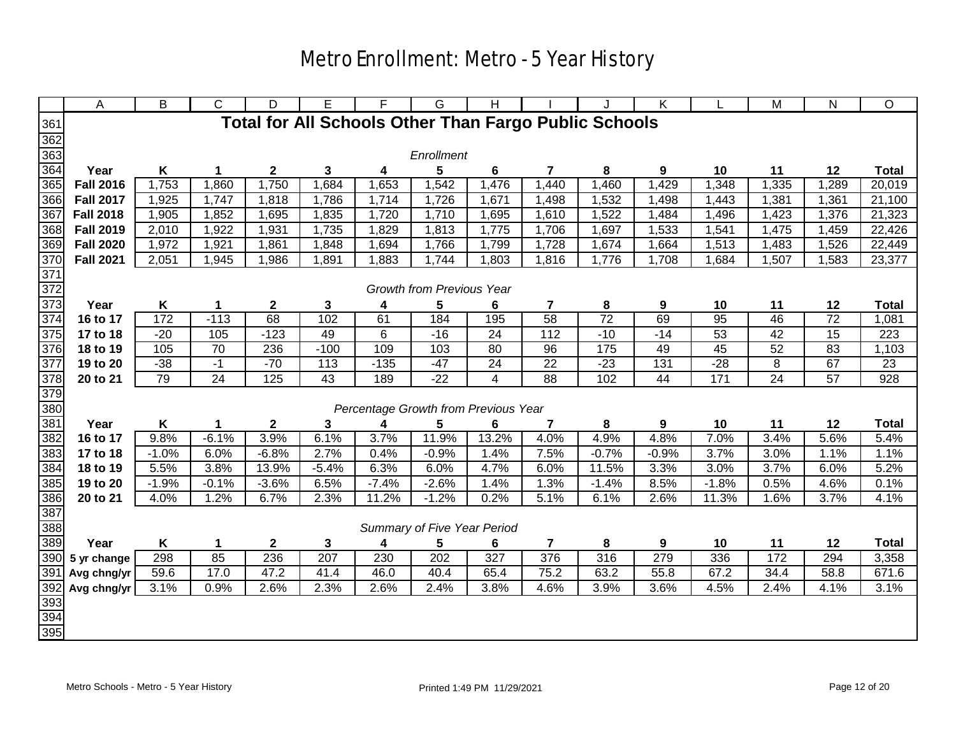|                                                                                                                         | Α                | B        | C               | D                       | Е        | F        | G                                    | н        |                         |                                                              | K        |                 | M         | N               | O            |
|-------------------------------------------------------------------------------------------------------------------------|------------------|----------|-----------------|-------------------------|----------|----------|--------------------------------------|----------|-------------------------|--------------------------------------------------------------|----------|-----------------|-----------|-----------------|--------------|
| $\frac{361}{362}$ $\frac{362}{364}$ $\frac{364}{365}$                                                                   |                  |          |                 |                         |          |          |                                      |          |                         | <b>Total for All Schools Other Than Fargo Public Schools</b> |          |                 |           |                 |              |
|                                                                                                                         |                  |          |                 |                         |          |          |                                      |          |                         |                                                              |          |                 |           |                 |              |
|                                                                                                                         |                  |          |                 |                         |          |          | Enrollment                           |          |                         |                                                              |          |                 |           |                 |              |
|                                                                                                                         | Year             | K        | 1               | $\mathbf{2}$            | 3        | 4        | 5                                    | 6        | $\overline{7}$          | 8                                                            | 9        | 10              | 11        | 12              | <b>Total</b> |
|                                                                                                                         | <b>Fall 2016</b> | 1,753    | 1,860           | 1,750                   | 1,684    | 1,653    | 1,542                                | 1,476    | 1,440                   | 1,460                                                        | 1,429    | 1,348           | 1,335     | 1,289           | 20,019       |
| 366                                                                                                                     | <b>Fall 2017</b> | 1,925    | 1,747           | 1,818                   | 1,786    | 1,714    | 1,726                                | 1,671    | 1,498                   | 1,532                                                        | 1,498    | 1,443           | 1,381     | 1,361           | 21,100       |
| 367                                                                                                                     | <b>Fall 2018</b> | 1,905    | 1,852           | 1,695                   | 1,835    | 1,720    | 1,710                                | 1,695    | 1,610                   | 1,522                                                        | 1,484    | 1,496           | 1,423     | 1,376           | 21,323       |
|                                                                                                                         | <b>Fall 2019</b> | 2,010    | 1,922           | 1,931                   | 1,735    | 1,829    | 1,813                                | 1,775    | 1,706                   | 1,697                                                        | 1,533    | 1,541           | 1,475     | 1,459           | 22,426       |
|                                                                                                                         | <b>Fall 2020</b> | 1,972    | 1,921           | 1,861                   | 1,848    | 1,694    | 1,766                                | 1,799    | 1,728                   | 1,674                                                        | 1,664    | 1,513           | 1,483     | 1,526           | 22,449       |
|                                                                                                                         | <b>Fall 2021</b> | 2,051    | 1,945           | 1,986                   | 1,891    | 1,883    | 1,744                                | 1,803    | 1,816                   | 1,776                                                        | 1,708    | 1,684           | 1,507     | 1,583           | 23,377       |
|                                                                                                                         |                  |          |                 |                         |          |          |                                      |          |                         |                                                              |          |                 |           |                 |              |
|                                                                                                                         |                  |          |                 |                         |          |          | Growth from Previous Year            |          |                         |                                                              |          |                 |           |                 |              |
| <u>ಚೀಪ ಅಂತಾ ಪ್ರಾಂತಾ ಮಾತ್ರ ಸಂಸ್ಥೆಯಾಗಿ ಸಂಸ್ಥೆಯಾಗಿ ಸಂಸ್ಥೆಯಾಗಿ ಸಂಸ್ಥೆಯಾಗಿ ಸಂಸ್ಥೆಯಾಗಿ ಸಂಸ್ಥೆಯಾಗಿ ಸಂಸ್ಥೆಯಾಗಿ ಸಂಸ್ಥೆಯಾಗಿ ಸ</u> | Year             | K        | $\mathbf 1$     | $\boldsymbol{2}$        | 3        | 4        | 5                                    | 6        | $\overline{\mathbf{7}}$ | 8                                                            | 9        | 10              | 11        | 12              | <b>Total</b> |
|                                                                                                                         | 16 to 17         | 172      | $-113$          | 68                      | 102      | 61       | 184                                  | 195      | 58                      | $\overline{72}$                                              | 69       | 95              | 46        | $\overline{72}$ | 1,081        |
|                                                                                                                         | 17 to 18         | $-20$    | 105             | $-123$                  | 49       | 6        | $-16$                                | 24       | $\frac{112}{112}$       | $-10$                                                        | $-14$    | 53              | 42        | 15              | 223          |
|                                                                                                                         | 18 to 19         | 105      | 70              | 236                     | $-100$   | 109      | 103                                  | 80       | 96                      | 175                                                          | 49       | 45              | 52        | 83              | 1,103        |
|                                                                                                                         | 19 to 20         | $-38$    | $-1$            | $-70$                   | 113      | $-135$   | $-47$                                | 24       | $\overline{22}$         | $-23$                                                        | 131      | $-28$           | 8         | 67              | 23           |
|                                                                                                                         | 20 to 21         | 79       | $\overline{24}$ | 125                     | 43       | 189      | $-22$                                | 4        | 88                      | 102                                                          | 44       | $\frac{1}{171}$ | 24        | $\overline{57}$ | 928          |
|                                                                                                                         |                  |          |                 |                         |          |          |                                      |          |                         |                                                              |          |                 |           |                 |              |
|                                                                                                                         |                  |          |                 |                         |          |          | Percentage Growth from Previous Year |          |                         |                                                              |          |                 |           |                 |              |
|                                                                                                                         | Year             | K        | 1               | $\mathbf 2$             | 3        | 4        | 5                                    | 6        | 7                       | 8                                                            | 9        | 10              | 11        | 12              | <b>Total</b> |
|                                                                                                                         | 16 to 17         | 9.8%     | $-6.1%$         | 3.9%                    | 6.1%     | 3.7%     | 11.9%                                | 13.2%    | 4.0%                    | 4.9%                                                         | 4.8%     | 7.0%            | 3.4%      | 5.6%            | 5.4%         |
|                                                                                                                         | 17 to 18         | $-1.0%$  | 6.0%            | $-6.8%$                 | 2.7%     | 0.4%     | $-0.9%$                              | 1.4%     | 7.5%                    | $-0.7%$                                                      | $-0.9%$  | 3.7%            | 3.0%      | 1.1%            | 1.1%         |
|                                                                                                                         | 18 to 19         | 5.5%     | 3.8%            | 13.9%                   | $-5.4%$  | 6.3%     | 6.0%                                 | 4.7%     | 6.0%                    | 11.5%                                                        | 3.3%     | 3.0%            | 3.7%      | 6.0%            | 5.2%         |
|                                                                                                                         | 19 to 20         | $-1.9%$  | $-0.1%$         | $-3.6%$                 | 6.5%     | $-7.4%$  | $-2.6%$                              | 1.4%     | 1.3%                    | $-1.4%$                                                      | 8.5%     | $-1.8%$         | 0.5%      | 4.6%<br>3.7%    | 0.1%         |
|                                                                                                                         | 20 to 21         | 4.0%     | 1.2%            | 6.7%                    | 2.3%     | 11.2%    | $-1.2%$                              | 0.2%     | 5.1%                    | 6.1%                                                         | 2.6%     | 11.3%           | 1.6%      |                 | 4.1%         |
|                                                                                                                         |                  |          |                 |                         |          |          | Summary of Five Year Period          |          |                         |                                                              |          |                 |           |                 |              |
|                                                                                                                         | Year             |          |                 |                         |          |          |                                      |          |                         |                                                              |          |                 |           | 12              | <b>Total</b> |
| 390                                                                                                                     | 5 yr change      | K<br>298 | 1<br>85         | $\boldsymbol{2}$<br>236 | 3<br>207 | 4<br>230 | 5<br>202                             | 6<br>327 | $\overline{7}$<br>376   | 8<br>316                                                     | 9<br>279 | 10<br>336       | 11<br>172 | 294             | 3,358        |
|                                                                                                                         | Avg chng/yr      | 59.6     | 17.0            | 47.2                    | 41.4     | 46.0     | 40.4                                 | 65.4     | 75.2                    | 63.2                                                         | 55.8     | 67.2            | 34.4      | 58.8            | 671.6        |
|                                                                                                                         | Avg chng/yr      | 3.1%     | 0.9%            | 2.6%                    | 2.3%     | 2.6%     | 2.4%                                 | 3.8%     | 4.6%                    | 3.9%                                                         | 3.6%     | 4.5%            | 2.4%      | 4.1%            | 3.1%         |
|                                                                                                                         |                  |          |                 |                         |          |          |                                      |          |                         |                                                              |          |                 |           |                 |              |
| 391<br>392<br>394<br>395                                                                                                |                  |          |                 |                         |          |          |                                      |          |                         |                                                              |          |                 |           |                 |              |
|                                                                                                                         |                  |          |                 |                         |          |          |                                      |          |                         |                                                              |          |                 |           |                 |              |
|                                                                                                                         |                  |          |                 |                         |          |          |                                      |          |                         |                                                              |          |                 |           |                 |              |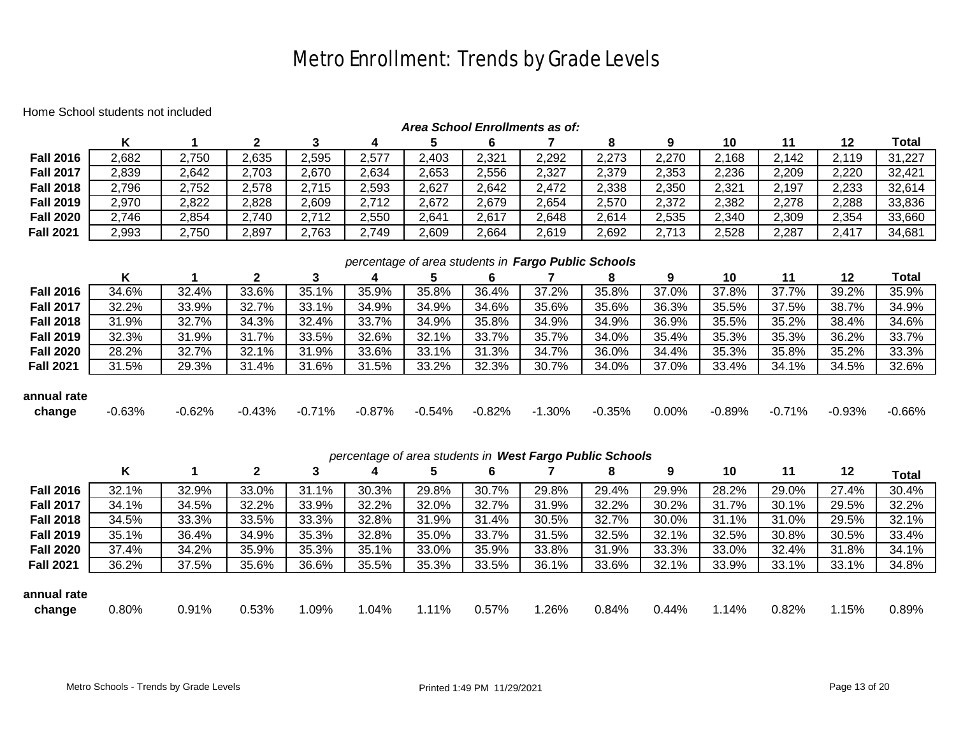## Metro Enrollment: Trends by Grade Levels

#### Home School students not included

| Area School Enrollments as of: |                                                     |          |              |          |          |          |          |                                                          |          |       |          |          |          |              |
|--------------------------------|-----------------------------------------------------|----------|--------------|----------|----------|----------|----------|----------------------------------------------------------|----------|-------|----------|----------|----------|--------------|
|                                | Κ                                                   |          | $\mathbf{2}$ | 3        | 4        | 5        | 6        | 7                                                        | 8        | 9     | 10       | 11       | 12       | Total        |
| <b>Fall 2016</b>               | 2,682                                               | 2,750    | 2,635        | 2,595    | 2,577    | 2,403    | 2,321    | 2,292                                                    | 2,273    | 2,270 | 2,168    | 2,142    | 2,119    | 31,227       |
| <b>Fall 2017</b>               | 2,839                                               | 2,642    | 2,703        | 2,670    | 2,634    | 2,653    | 2,556    | 2,327                                                    | 2,379    | 2,353 | 2,236    | 2,209    | 2,220    | 32,421       |
| <b>Fall 2018</b>               | 2,796                                               | 2,752    | 2,578        | 2,715    | 2,593    | 2,627    | 2,642    | 2,472                                                    | 2,338    | 2,350 | 2,321    | 2,197    | 2,233    | 32,614       |
| <b>Fall 2019</b>               | 2,970                                               | 2,822    | 2,828        | 2,609    | 2,712    | 2,672    | 2,679    | 2,654                                                    | 2,570    | 2,372 | 2,382    | 2,278    | 2,288    | 33,836       |
| <b>Fall 2020</b>               | 2,746                                               | 2,854    | 2,740        | 2,712    | 2,550    | 2,641    | 2,617    | 2,648                                                    | 2,614    | 2,535 | 2,340    | 2,309    | 2,354    | 33,660       |
| <b>Fall 2021</b>               | 2,993                                               | 2,750    | 2,897        | 2,763    | 2,749    | 2,609    | 2,664    | 2,619                                                    | 2,692    | 2,713 | 2,528    | 2,287    | 2,417    | 34,681       |
|                                |                                                     |          |              |          |          |          |          |                                                          |          |       |          |          |          |              |
|                                | percentage of area students in Fargo Public Schools |          |              |          |          |          |          |                                                          |          |       |          |          |          |              |
|                                | K                                                   |          | $\mathbf{2}$ | 3        | 4        | 5        | 6        | 7                                                        | 8        | 9     | 10       | 11       | 12       | Total        |
| <b>Fall 2016</b>               | 34.6%                                               | 32.4%    | 33.6%        | 35.1%    | 35.9%    | 35.8%    | 36.4%    | 37.2%                                                    | 35.8%    | 37.0% | 37.8%    | 37.7%    | 39.2%    | 35.9%        |
| <b>Fall 2017</b>               | 32.2%                                               | 33.9%    | 32.7%        | 33.1%    | 34.9%    | 34.9%    | 34.6%    | 35.6%                                                    | 35.6%    | 36.3% | 35.5%    | 37.5%    | 38.7%    | 34.9%        |
| <b>Fall 2018</b>               | 31.9%                                               | 32.7%    | 34.3%        | 32.4%    | 33.7%    | 34.9%    | 35.8%    | 34.9%                                                    | 34.9%    | 36.9% | 35.5%    | 35.2%    | 38.4%    | 34.6%        |
| <b>Fall 2019</b>               | 32.3%                                               | 31.9%    | 31.7%        | 33.5%    | 32.6%    | 32.1%    | 33.7%    | 35.7%                                                    | 34.0%    | 35.4% | 35.3%    | 35.3%    | 36.2%    | 33.7%        |
| <b>Fall 2020</b>               | 28.2%                                               | 32.7%    | 32.1%        | 31.9%    | 33.6%    | 33.1%    | 31.3%    | 34.7%                                                    | 36.0%    | 34.4% | 35.3%    | 35.8%    | 35.2%    | 33.3%        |
| <b>Fall 2021</b>               | 31.5%                                               | 29.3%    | 31.4%        | 31.6%    | 31.5%    | 33.2%    | 32.3%    | 30.7%                                                    | 34.0%    | 37.0% | 33.4%    | 34.1%    | 34.5%    | 32.6%        |
|                                |                                                     |          |              |          |          |          |          |                                                          |          |       |          |          |          |              |
| annual rate                    |                                                     |          |              |          |          |          |          |                                                          |          |       |          |          |          |              |
| change                         | $-0.63%$                                            | $-0.62%$ | $-0.43%$     | $-0.71%$ | $-0.87%$ | $-0.54%$ | $-0.82%$ | $-1.30%$                                                 | $-0.35%$ | 0.00% | $-0.89%$ | $-0.71%$ | $-0.93%$ | $-0.66%$     |
|                                |                                                     |          |              |          |          |          |          |                                                          |          |       |          |          |          |              |
|                                |                                                     |          |              |          |          |          |          |                                                          |          |       |          |          |          |              |
|                                |                                                     |          |              |          |          |          |          | percentage of area students in West Fargo Public Schools |          |       |          |          |          |              |
|                                | Κ                                                   |          | 2            | 3        | 4        | 5        | 6        | 7                                                        | 8        | 9     | 10       | 11       | 12       | <b>Total</b> |
| <b>Fall 2016</b>               | 32.1%                                               | 32.9%    | 33.0%        | 31.1%    | 30.3%    | 29.8%    | 30.7%    | 29.8%                                                    | 29.4%    | 29.9% | 28.2%    | 29.0%    | 27.4%    | 30.4%        |
| <b>Fall 2017</b>               | 34.1%                                               | 34.5%    | 32.2%        | 33.9%    | 32.2%    | 32.0%    | 32.7%    | 31.9%                                                    | 32.2%    | 30.2% | 31.7%    | 30.1%    | 29.5%    | 32.2%        |
| <b>Fall 2018</b>               | 34.5%                                               | 33.3%    | 33.5%        | 33.3%    | 32.8%    | 31.9%    | 31.4%    | 30.5%                                                    | 32.7%    | 30.0% | 31.1%    | 31.0%    | 29.5%    | 32.1%        |
| <b>Fall 2019</b>               | 35.1%                                               | 36.4%    | 34.9%        | 35.3%    | 32.8%    | 35.0%    | 33.7%    | 31.5%                                                    | 32.5%    | 32.1% | 32.5%    | 30.8%    | 30.5%    | 33.4%        |
| <b>Fall 2020</b>               | 37.4%                                               | 34.2%    | 35.9%        | 35.3%    | 35.1%    | 33.0%    | 35.9%    | 33.8%                                                    | 31.9%    | 33.3% | 33.0%    | 32.4%    | 31.8%    | 34.1%        |
| <b>Fall 2021</b>               | 36.2%                                               | 37.5%    | 35.6%        | 36.6%    | 35.5%    | 35.3%    | 33.5%    | 36.1%                                                    | 33.6%    | 32.1% | 33.9%    | 33.1%    | 33.1%    | 34.8%        |
|                                |                                                     |          |              |          |          |          |          |                                                          |          |       |          |          |          |              |
| annual rate                    |                                                     |          |              |          |          |          |          |                                                          |          |       |          |          |          |              |
| change                         | 0.80%                                               | 0.91%    | 0.53%        | 1.09%    | 1.04%    | 1.11%    | 0.57%    | 1.26%                                                    | 0.84%    | 0.44% | 1.14%    | 0.82%    | 1.15%    | 0.89%        |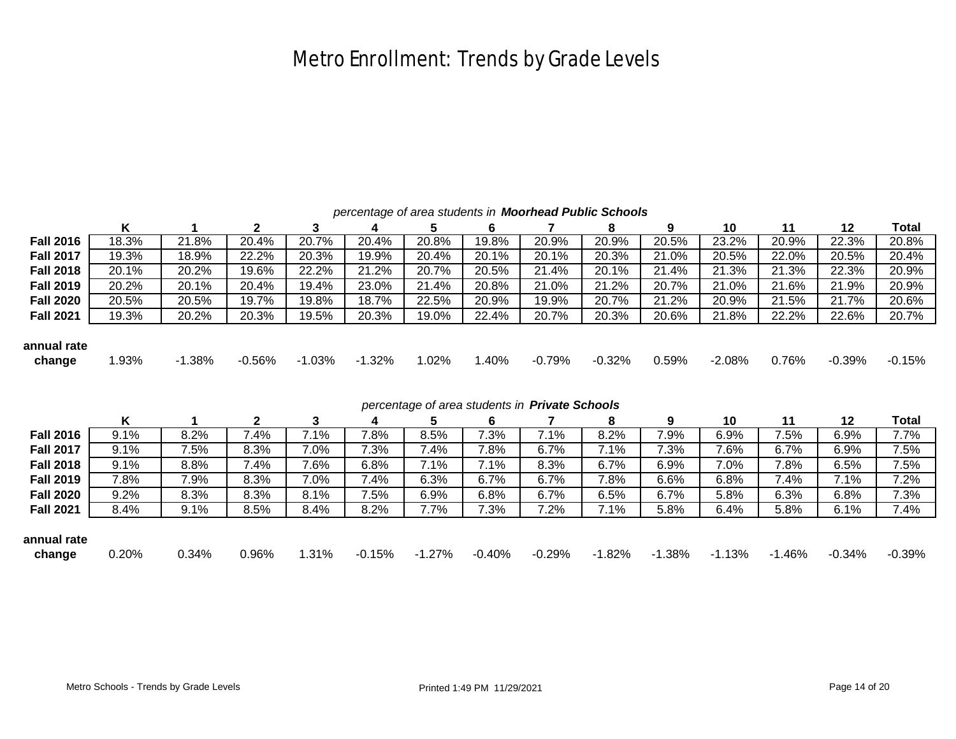# Metro Enrollment: Trends by Grade Levels

| percentage of area students in <b>Moorhead Public Schools</b> |  |  |  |
|---------------------------------------------------------------|--|--|--|
|---------------------------------------------------------------|--|--|--|

|                  | Κ                                              |          | 2        | 3        |          | 5        | 6        |          | 8        | 9        | 10       | 11       | 12        | Total    |
|------------------|------------------------------------------------|----------|----------|----------|----------|----------|----------|----------|----------|----------|----------|----------|-----------|----------|
| <b>Fall 2016</b> | 18.3%                                          | 21.8%    | 20.4%    | 20.7%    | 20.4%    | 20.8%    | 19.8%    | 20.9%    | 20.9%    | 20.5%    | 23.2%    | 20.9%    | 22.3%     | 20.8%    |
| <b>Fall 2017</b> | 19.3%                                          | 18.9%    | 22.2%    | 20.3%    | 19.9%    | 20.4%    | 20.1%    | 20.1%    | 20.3%    | 21.0%    | 20.5%    | 22.0%    | 20.5%     | 20.4%    |
| <b>Fall 2018</b> | 20.1%                                          | 20.2%    | 19.6%    | 22.2%    | 21.2%    | 20.7%    | 20.5%    | 21.4%    | 20.1%    | 21.4%    | 21.3%    | 21.3%    | 22.3%     | 20.9%    |
| <b>Fall 2019</b> | 20.2%                                          | 20.1%    | 20.4%    | 19.4%    | 23.0%    | 21.4%    | 20.8%    | 21.0%    | 21.2%    | 20.7%    | 21.0%    | 21.6%    | 21.9%     | 20.9%    |
| <b>Fall 2020</b> | 20.5%                                          | 20.5%    | 19.7%    | 19.8%    | 18.7%    | 22.5%    | 20.9%    | 19.9%    | 20.7%    | 21.2%    | 20.9%    | 21.5%    | 21.7%     | 20.6%    |
| <b>Fall 2021</b> | 19.3%                                          | 20.2%    | 20.3%    | 19.5%    | 20.3%    | 19.0%    | 22.4%    | 20.7%    | 20.3%    | 20.6%    | 21.8%    | 22.2%    | 22.6%     | 20.7%    |
|                  |                                                |          |          |          |          |          |          |          |          |          |          |          |           |          |
| annual rate      |                                                |          |          |          |          |          |          |          |          |          |          |          |           |          |
| change           | 1.93%                                          | $-1.38%$ | $-0.56%$ | $-1.03%$ | $-1.32%$ | 1.02%    | 1.40%    | $-0.79%$ | $-0.32%$ | 0.59%    | $-2.08%$ | 0.76%    | $-0.39%$  | $-0.15%$ |
|                  |                                                |          |          |          |          |          |          |          |          |          |          |          |           |          |
|                  |                                                |          |          |          |          |          |          |          |          |          |          |          |           |          |
|                  | percentage of area students in Private Schools |          |          |          |          |          |          |          |          |          |          |          |           |          |
|                  |                                                |          |          |          |          |          |          |          |          |          |          |          |           |          |
|                  | Κ                                              |          | 2        | 3        | 4        | 5        | 6        |          | 8        | 9        | 10       | 11       | 12        | Total    |
| <b>Fall 2016</b> | 9.1%                                           | 8.2%     | 7.4%     | 7.1%     | 7.8%     | 8.5%     | 7.3%     | 7.1%     | 8.2%     | 7.9%     | 6.9%     | 7.5%     | 6.9%      | 7.7%     |
| <b>Fall 2017</b> | 9.1%                                           | 7.5%     | 8.3%     | 7.0%     | 7.3%     | 7.4%     | 7.8%     | 6.7%     | 7.1%     | 7.3%     | 7.6%     | 6.7%     | 6.9%      | 7.5%     |
| <b>Fall 2018</b> | 9.1%                                           | 8.8%     | 7.4%     | 7.6%     | 6.8%     | 7.1%     | 7.1%     | 8.3%     | 6.7%     | 6.9%     | 7.0%     | 7.8%     | 6.5%      | 7.5%     |
| <b>Fall 2019</b> | 7.8%                                           | 7.9%     | 8.3%     | 7.0%     | 7.4%     | 6.3%     | 6.7%     | 6.7%     | 7.8%     | 6.6%     | 6.8%     | 7.4%     | 7.1%      | 7.2%     |
| <b>Fall 2020</b> | 9.2%                                           | 8.3%     | 8.3%     | 8.1%     | 7.5%     | 6.9%     | 6.8%     | 6.7%     | 6.5%     | 6.7%     | 5.8%     | 6.3%     | 6.8%      | 7.3%     |
| <b>Fall 2021</b> | 8.4%                                           | 9.1%     | 8.5%     | 8.4%     | 8.2%     | 7.7%     | 7.3%     | 7.2%     | 7.1%     | 5.8%     | 6.4%     | 5.8%     | 6.1%      | 7.4%     |
|                  |                                                |          |          |          |          |          |          |          |          |          |          |          |           |          |
| annual rate      |                                                |          |          |          |          |          |          |          |          |          |          |          |           |          |
| change           | 0.20%                                          | 0.34%    | 0.96%    | 1.31%    | $-0.15%$ | $-1.27%$ | $-0.40%$ | $-0.29%$ | $-1.82%$ | $-1.38%$ | $-1.13%$ | $-1.46%$ | $-0.34\%$ | $-0.39%$ |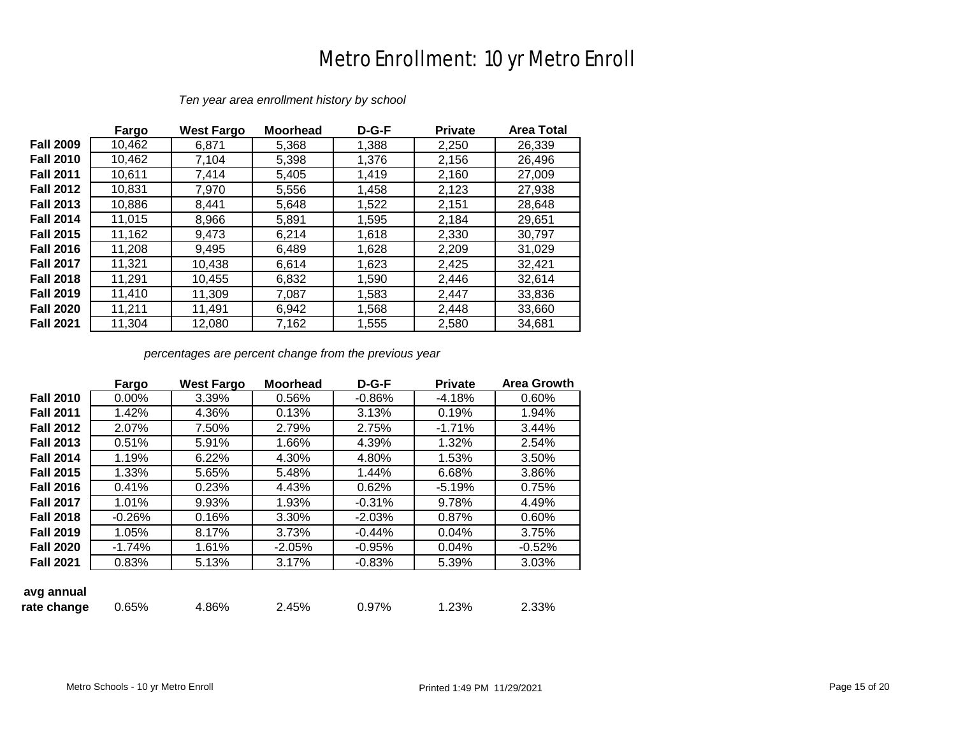#### Metro Enrollment: 10 yr Metro Enroll

|                  | Fargo  | <b>West Fargo</b> | <b>Moorhead</b> | $D-G-F$ | <b>Private</b> | <b>Area Total</b> |
|------------------|--------|-------------------|-----------------|---------|----------------|-------------------|
| <b>Fall 2009</b> | 10,462 | 6,871             | 5,368           | 1,388   | 2,250          | 26,339            |
| <b>Fall 2010</b> | 10,462 | 7,104             | 5,398           | 1,376   | 2,156          | 26,496            |
| <b>Fall 2011</b> | 10,611 | 7,414             | 5,405           | 1,419   | 2,160          | 27,009            |
| <b>Fall 2012</b> | 10,831 | 7,970             | 5,556           | 1,458   | 2,123          | 27,938            |
| <b>Fall 2013</b> | 10,886 | 8,441             | 5,648           | 1,522   | 2,151          | 28,648            |
| <b>Fall 2014</b> | 11,015 | 8,966             | 5,891           | 1,595   | 2,184          | 29,651            |
| <b>Fall 2015</b> | 11,162 | 9.473             | 6,214           | 1,618   | 2,330          | 30,797            |
| <b>Fall 2016</b> | 11,208 | 9,495             | 6,489           | 1,628   | 2,209          | 31,029            |
| <b>Fall 2017</b> | 11,321 | 10,438            | 6,614           | 1,623   | 2,425          | 32,421            |
| <b>Fall 2018</b> | 11,291 | 10,455            | 6,832           | 1,590   | 2,446          | 32,614            |
| <b>Fall 2019</b> | 11,410 | 11,309            | 7,087           | 1,583   | 2,447          | 33,836            |
| <b>Fall 2020</b> | 11,211 | 11,491            | 6,942           | 1,568   | 2,448          | 33,660            |
| <b>Fall 2021</b> | 11.304 | 12,080            | 7,162           | 1,555   | 2,580          | 34,681            |

*Ten year area enrollment history by school*

*percentages are percent change from the previous year*

|                  | Fargo    | <b>West Fargo</b> | <b>Moorhead</b> | $D-G-F$  | <b>Private</b> | <b>Area Growth</b> |
|------------------|----------|-------------------|-----------------|----------|----------------|--------------------|
| <b>Fall 2010</b> | 0.00%    | 3.39%             | 0.56%           | $-0.86%$ | $-4.18%$       | 0.60%              |
| <b>Fall 2011</b> | 1.42%    | 4.36%             | 0.13%           | 3.13%    | 0.19%          | 1.94%              |
| <b>Fall 2012</b> | 2.07%    | 7.50%             | 2.79%           | 2.75%    | $-1.71%$       | 3.44%              |
| <b>Fall 2013</b> | 0.51%    | 5.91%             | 1.66%           | 4.39%    | 1.32%          | 2.54%              |
| <b>Fall 2014</b> | 1.19%    | 6.22%             | 4.30%           | 4.80%    | 1.53%          | 3.50%              |
| <b>Fall 2015</b> | 1.33%    | 5.65%             | 5.48%           | 1.44%    | 6.68%          | 3.86%              |
| <b>Fall 2016</b> | 0.41%    | 0.23%             | 4.43%           | 0.62%    | $-5.19%$       | 0.75%              |
| <b>Fall 2017</b> | 1.01%    | 9.93%             | 1.93%           | $-0.31%$ | 9.78%          | 4.49%              |
| <b>Fall 2018</b> | $-0.26%$ | 0.16%             | 3.30%           | $-2.03%$ | 0.87%          | 0.60%              |
| <b>Fall 2019</b> | 1.05%    | 8.17%             | 3.73%           | $-0.44%$ | 0.04%          | 3.75%              |
| <b>Fall 2020</b> | $-1.74%$ | 1.61%             | $-2.05%$        | $-0.95%$ | 0.04%          | $-0.52%$           |
| <b>Fall 2021</b> | 0.83%    | 5.13%             | 3.17%           | $-0.83%$ | 5.39%          | 3.03%              |
|                  |          |                   |                 |          |                |                    |
| avg annual       |          |                   |                 |          |                |                    |
| rate change      | 0.65%    | 4.86%             | 2.45%           | 0.97%    | 1.23%          | 2.33%              |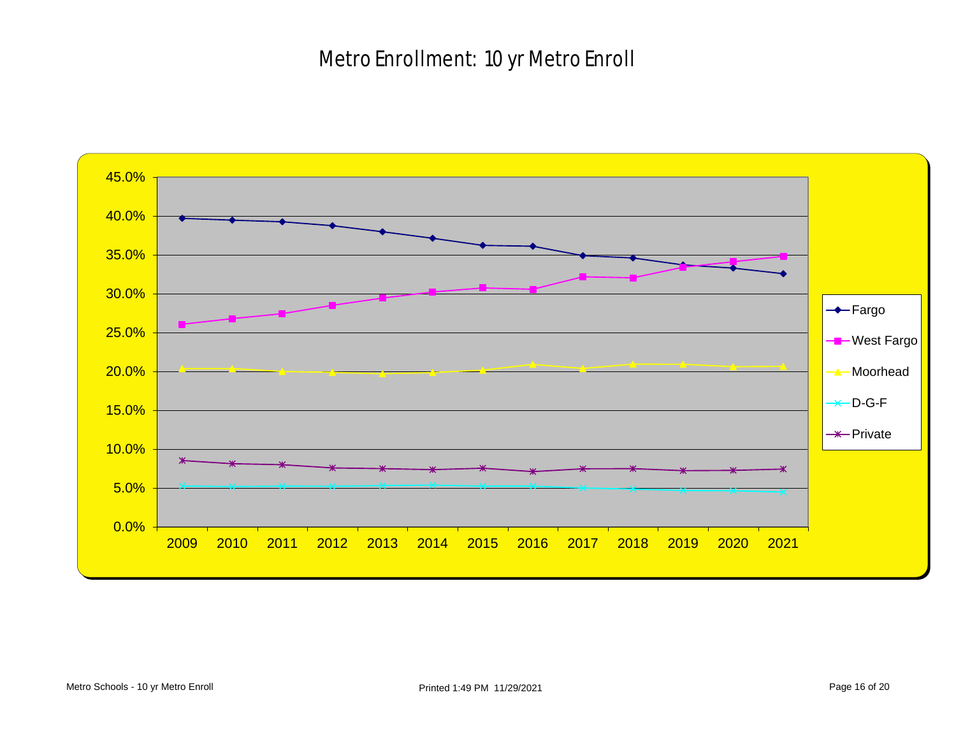#### Metro Enrollment: 10 yr Metro Enroll

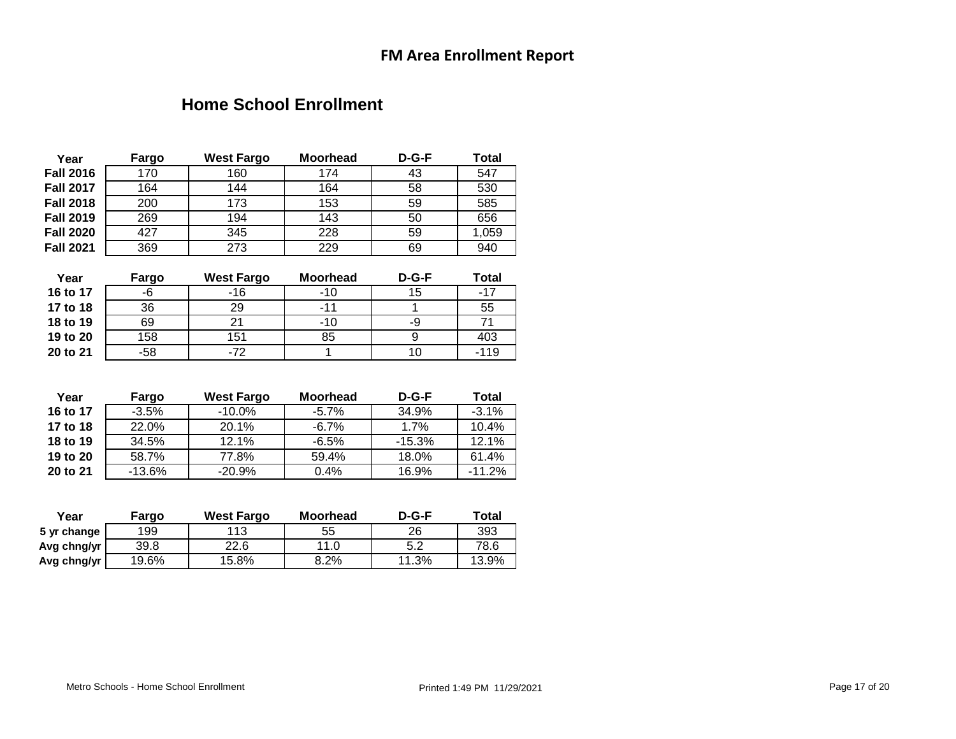#### **Home School Enrollment**

| Year             | Fargo    | <b>West Fargo</b> | <b>Moorhead</b> | D-G-F    | Total           |
|------------------|----------|-------------------|-----------------|----------|-----------------|
| <b>Fall 2016</b> | 170      | 160               | 174             | 43       | 547             |
| <b>Fall 2017</b> | 164      | 144               | 164             | 58       | 530             |
| <b>Fall 2018</b> | 200      | 173               | 153             | 59       | 585             |
| <b>Fall 2019</b> | 269      | 194               | 143             | 50       | 656             |
| <b>Fall 2020</b> | 427      | 345               | 228             | 59       | 1,059           |
| <b>Fall 2021</b> | 369      | 273               | 229             | 69       | 940             |
| Year             | Fargo    | <b>West Fargo</b> | <b>Moorhead</b> | D-G-F    | Total           |
| 16 to 17         | -6       | $-16$             | $-10$           | 15       | $-17$           |
| 17 to 18         | 36       | 29                | $-11$           | 1        | 55              |
| 18 to 19         | 69       | 21                | $-10$           | -9       | $\overline{71}$ |
| 19 to 20         | 158      | 151               | 85              | 9        | 403             |
| 20 to 21         | $-58$    | $-72$             | 1               | 10       | $-119$          |
|                  |          |                   |                 |          |                 |
| Year             | Fargo    | <b>West Fargo</b> | <b>Moorhead</b> | D-G-F    | Total           |
| 16 to 17         | $-3.5%$  | $-10.0\%$         | $-5.7%$         | 34.9%    | $-3.1%$         |
| 17 to 18         | 22.0%    | 20.1%             | $-6.7%$         | 1.7%     | 10.4%           |
| 18 to 19         | 34.5%    | 12.1%             | $-6.5%$         | $-15.3%$ | 12.1%           |
| 19 to 20         | 58.7%    | 77.8%             | 59.4%           | 18.0%    | 61.4%           |
| 20 to 21         | $-13.6%$ | $-20.9%$          | 0.4%            | 16.9%    | $-11.2%$        |
|                  |          |                   |                 |          |                 |
| Year             | Fargo    | <b>West Fargo</b> | <b>Moorhead</b> | $D-G-F$  | Total           |
| 5 yr change      | 199      | 113               | 55              | 26       | 393             |

**Avg chng/yr** 39.8 22.6 11.0 5.2 78.6<br> **Avg chng/yr** 19.6% 15.8% 8.2% 11.3% 13.9%

Avg chng/yr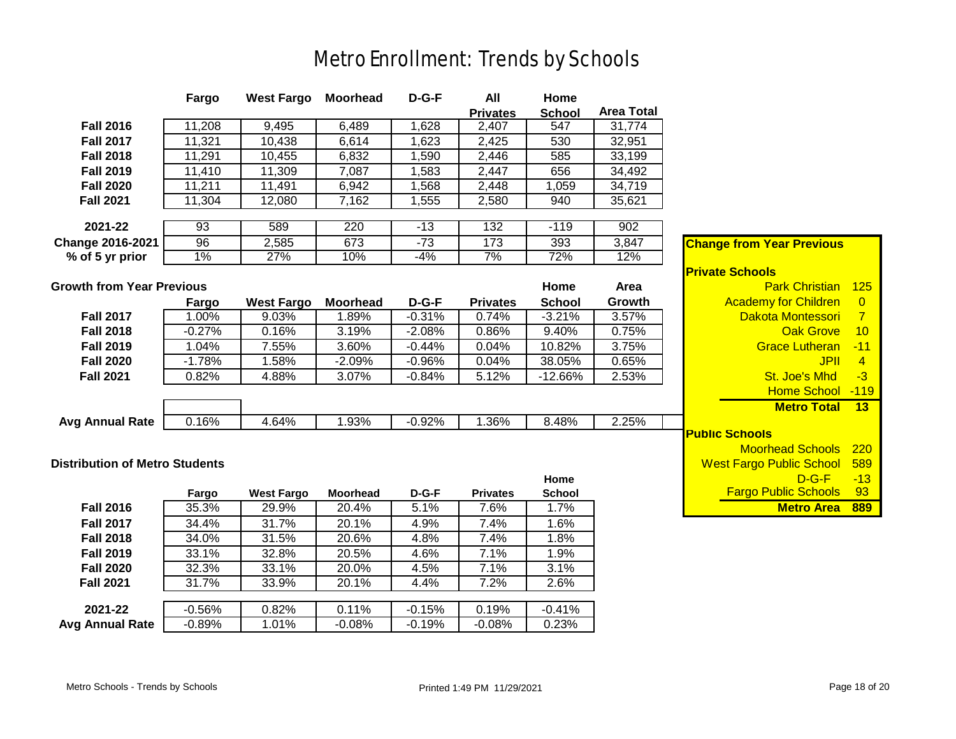# Metro Enrollment: Trends by Schools

|                                       | Fargo    | <b>West Fargo</b> | <b>Moorhead</b> | D-G-F    | All             | Home          |                   |                                  |                |
|---------------------------------------|----------|-------------------|-----------------|----------|-----------------|---------------|-------------------|----------------------------------|----------------|
|                                       |          |                   |                 |          | <b>Privates</b> | <b>School</b> | <b>Area Total</b> |                                  |                |
| <b>Fall 2016</b>                      | 11,208   | 9,495             | 6,489           | 1,628    | 2,407           | 547           | 31,774            |                                  |                |
| <b>Fall 2017</b>                      | 11,321   | 10,438            | 6,614           | 1,623    | 2,425           | 530           | 32,951            |                                  |                |
| <b>Fall 2018</b>                      | 11,291   | 10,455            | 6,832           | 1,590    | 2,446           | 585           | 33,199            |                                  |                |
| <b>Fall 2019</b>                      | 11,410   | 11,309            | 7,087           | 1,583    | 2,447           | 656           | 34,492            |                                  |                |
| <b>Fall 2020</b>                      | 11,211   | 11,491            | 6,942           | 1,568    | 2,448           | 1,059         | 34,719            |                                  |                |
| <b>Fall 2021</b>                      | 11,304   | 12,080            | 7,162           | 1,555    | 2,580           | 940           | 35,621            |                                  |                |
|                                       |          |                   |                 |          |                 |               |                   |                                  |                |
| 2021-22                               | 93       | 589               | 220             | $-13$    | 132             | $-119$        | 902               |                                  |                |
| Change 2016-2021                      | 96       | 2,585             | 673             | $-73$    | 173             | 393           | 3,847             | <b>Change from Year Previous</b> |                |
| % of 5 yr prior                       | 1%       | 27%               | 10%             | $-4%$    | 7%              | 72%           | 12%               |                                  |                |
|                                       |          |                   |                 |          |                 |               |                   | <b>Private Schools</b>           |                |
| <b>Growth from Year Previous</b>      |          |                   |                 |          |                 | Home          | Area              | <b>Park Christian</b>            | $-125$         |
|                                       | Fargo    | <b>West Fargo</b> | <b>Moorhead</b> | $D-G-F$  | <b>Privates</b> | <b>School</b> | Growth            | <b>Academy for Children</b>      | $\overline{0}$ |
| <b>Fall 2017</b>                      | 1.00%    | 9.03%             | 1.89%           | $-0.31%$ | 0.74%           | $-3.21%$      | 3.57%             | Dakota Montessori                | $\overline{7}$ |
| <b>Fall 2018</b>                      | $-0.27%$ | 0.16%             | 3.19%           | $-2.08%$ | 0.86%           | 9.40%         | 0.75%             | <b>Oak Grove</b>                 | 10             |
| <b>Fall 2019</b>                      | 1.04%    | 7.55%             | 3.60%           | $-0.44%$ | 0.04%           | 10.82%        | 3.75%             | <b>Grace Lutheran</b>            | $-11$          |
| <b>Fall 2020</b>                      | $-1.78%$ | 1.58%             | $-2.09%$        | $-0.96%$ | 0.04%           | 38.05%        | 0.65%             | <b>JPII</b>                      | $\overline{4}$ |
| <b>Fall 2021</b>                      | 0.82%    | 4.88%             | 3.07%           | $-0.84%$ | 5.12%           | $-12.66%$     | 2.53%             | St. Joe's Mhd                    | $-3$           |
|                                       |          |                   |                 |          |                 |               |                   | <b>Home School</b>               | $-119$         |
|                                       |          |                   |                 |          |                 |               |                   | <b>Metro Total</b>               | 13             |
| <b>Avg Annual Rate</b>                | 0.16%    | 4.64%             | 1.93%           | $-0.92%$ | 1.36%           | 8.48%         | 2.25%             |                                  |                |
|                                       |          |                   |                 |          |                 |               |                   | <b>Public Schools</b>            |                |
|                                       |          |                   |                 |          |                 |               |                   | <b>Moorhead Schools</b>          | 220            |
| <b>Distribution of Metro Students</b> |          |                   |                 |          |                 |               |                   | <b>West Fargo Public School</b>  | 589            |
|                                       |          |                   |                 |          |                 | Home          |                   | $D-G-F$                          | $-13$          |
|                                       | Fargo    | <b>West Fargo</b> | <b>Moorhead</b> | $D-G-F$  | <b>Privates</b> | <b>School</b> |                   | <b>Fargo Public Schools</b>      | 93             |
| <b>Fall 2016</b>                      | 35.3%    | 29.9%             | 20.4%           | 5.1%     | 7.6%            | 1.7%          |                   | <b>Metro Area</b>                | 889            |
| <b>Fall 2017</b>                      | 34.4%    | 31.7%             | 20.1%           | 4.9%     | 7.4%            | 1.6%          |                   |                                  |                |
| <b>Fall 2018</b>                      | 34.0%    | 31.5%             | 20.6%           | 4.8%     | 7.4%            | 1.8%          |                   |                                  |                |
| <b>Fall 2019</b>                      | 33.1%    | 32.8%             | 20.5%           | 4.6%     | 7.1%            | 1.9%          |                   |                                  |                |
| <b>Fall 2020</b>                      | 32.3%    | 33.1%             | 20.0%           | 4.5%     | 7.1%            | 3.1%          |                   |                                  |                |
| <b>Fall 2021</b>                      | 31.7%    | 33.9%             | 20.1%           | 4.4%     | 7.2%            | 2.6%          |                   |                                  |                |
| 2021-22                               | $-0.56%$ | 0.82%             | 0.11%           | $-0.15%$ | 0.19%           | $-0.41%$      |                   |                                  |                |
|                                       |          | 1.01%             |                 |          |                 |               |                   |                                  |                |
| <b>Avg Annual Rate</b>                | $-0.89%$ |                   | $-0.08%$        | $-0.19%$ | $-0.08%$        | 0.23%         |                   |                                  |                |